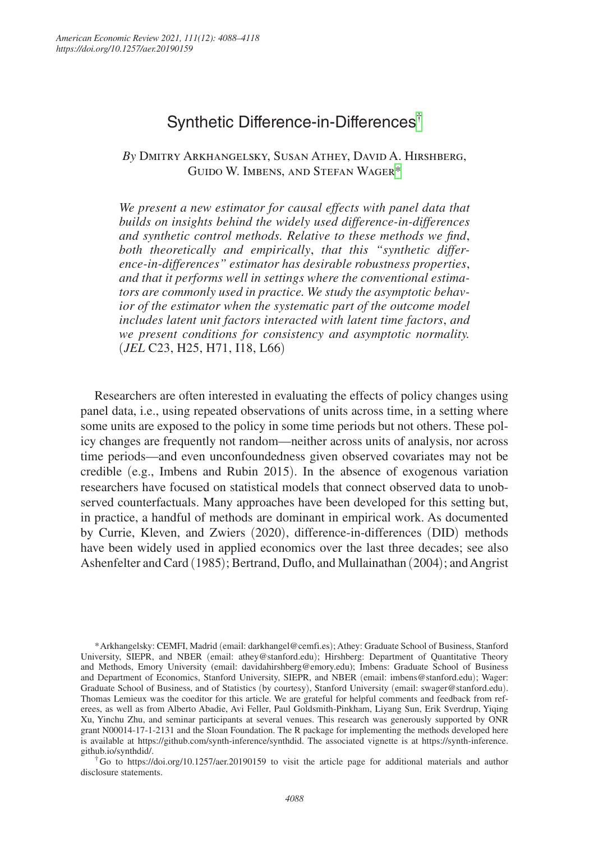# Synthetic Difference-in-Differences†

*By* Dmitry Arkhangelsky, Susan Athey, David A. Hirshberg, Guido W. Imbens, and Stefan Wager\*

We present a new estimator for causal effects with panel data that *builds on insights behind the widely used difference-in-differences and synthetic control methods. Relative to these methods we find*, *both theoretically and empirically*, *that this "synthetic difference-in-differences" estimator has desirable robustness properties*, *and that it performs well in settings where the conventional estimators are commonly used in practice. We study the asymptotic behavior of the estimator when the systematic part of the outcome model includes latent unit factors interacted with latent time factors*, *and we present conditions for consistency and asymptotic normality.*  (*JEL* C23, H25, H71, I18, L66)

Researchers are often interested in evaluating the effects of policy changes using panel data, i.e., using repeated observations of units across time, in a setting where some units are exposed to the policy in some time periods but not others. These policy changes are frequently not random—neither across units of analysis, nor across time periods—and even unconfoundedness given observed covariates may not be credible (e.g., Imbens and Rubin 2015). In the absence of exogenous variation researchers have focused on statistical models that connect observed data to unobserved counterfactuals. Many approaches have been developed for this setting but, in practice, a handful of methods are dominant in empirical work. As documented by Currie, Kleven, and Zwiers (2020), difference-in-differences (DID) methods have been widely used in applied economics over the last three decades; see also Ashenfelter and Card (1985); Bertrand, Duflo, and Mullainathan (2004); and Angrist

\*Arkhangelsky: CEMFI, Madrid (email: [darkhangel@cemfi.es](mailto:darkhangel@cemfi.es)); Athey: Graduate School of Business, Stanford University, SIEPR, and NBER (email: [athey@stanford.edu](mailto:athey@stanford.edu)); Hirshberg: Department of Quantitative Theory and Methods, Emory University (email: [davidahirshberg@emory.edu](mailto:davidahirshberg@emory.edu)); Imbens: Graduate School of Business and Department of Economics, Stanford University, SIEPR, and NBER (email: [imbens@stanford.edu](mailto:imbens@stanford.edu)); Wager: Graduate School of Business, and of Statistics (by courtesy), Stanford University (email: [swager@stanford.edu](mailto:swager@stanford.edu)). Thomas Lemieux was the coeditor for this article. We are grateful for helpful comments and feedback from referees, as well as from Alberto Abadie, Avi Feller, Paul Goldsmith-Pinkham, Liyang Sun, Erik Sverdrup, Yiqing Xu, Yinchu Zhu, and seminar participants at several venues. This research was generously supported by ONR grant N00014-17-1-2131 and the Sloan Foundation. The R package for implementing the methods developed here is available at <https://github.com/synth-inference/synthdid>. The associated vignette is at [https://synth-inference.](https://synth-inference.github.io/synthdid/) [github.io/synthdid/.](https://synth-inference.github.io/synthdid/)

†Go to <https://doi.org/10.1257/aer.20190159>to visit the article page for additional materials and author disclosure statements.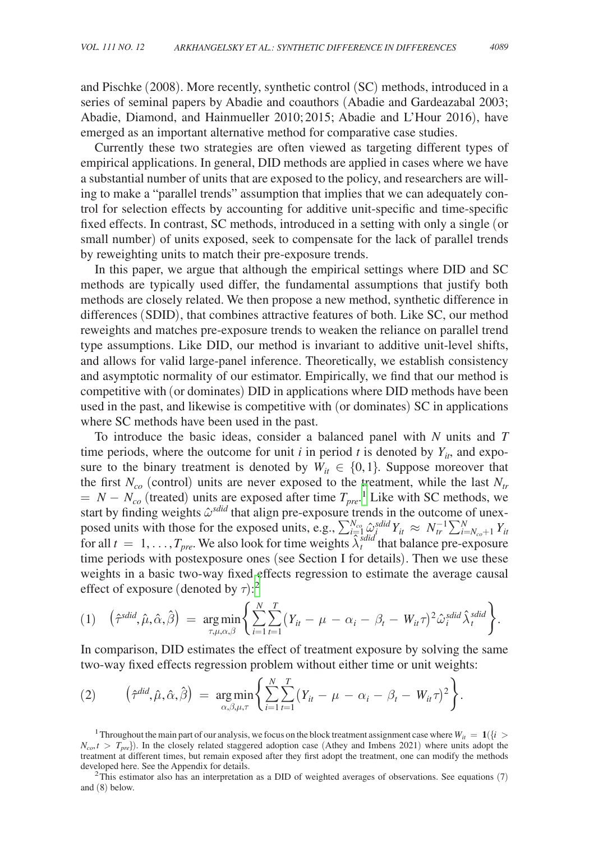and Pischke (2008). More recently, synthetic control (SC) methods, introduced in a series of seminal papers by Abadie and coauthors (Abadie and Gardeazabal 2003; Abadie, Diamond, and Hainmueller 2010; 2015; Abadie and L'Hour 2016), have emerged as an important alternative method for comparative case studies.

Currently these two strategies are often viewed as targeting different types of empirical applications. In general, DID methods are applied in cases where we have a substantial number of units that are exposed to the policy, and researchers are willing to make a "parallel trends" assumption that implies that we can adequately control for selection effects by accounting for additive unit-specific and time-specific fixed effects. In contrast, SC methods, introduced in a setting with only a single (or small number) of units exposed, seek to compensate for the lack of parallel trends by reweighting units to match their pre-exposure trends.

In this paper, we argue that although the empirical settings where DID and SC methods are typically used differ, the fundamental assumptions that justify both methods are closely related. We then propose a new method, synthetic difference in differences (SDID), that combines attractive features of both. Like SC, our method reweights and matches pre-exposure trends to weaken the reliance on parallel trend type assumptions. Like DID, our method is invariant to additive unit-level shifts, and allows for valid large-panel inference. Theoretically, we establish consistency and asymptotic normality of our estimator. Empirically, we find that our method is competitive with (or dominates) DID in applications where DID methods have been used in the past, and likewise is competitive with (or dominates) SC in applications where SC methods have been used in the past.

To introduce the basic ideas, consider a balanced panel with *N* units and *T* time periods, where the outcome for unit  $i$  in period  $t$  is denoted by  $Y_{it}$ , and exposure to the binary treatment is denoted by  $W_{it} \in \{0, 1\}$ . Suppose moreover that the first  $N_{co}$  (control) units are never exposed to the treatment, while the last  $N_{tr}$  $N - N_{co}$  (treated) units are exposed after time  $T_{pre}$ <sup>1</sup>. Like with SC methods, we start by finding weights  $\hat{\omega}^{sdid}$  that align pre-exposure trends in the outcome of unexposed units with those for the exposed units, e.g.,  $\sum_{i=1}^{N_{co}} \hat{\omega}_{i}^{s} \hat{d}^{s} Y_{it} \approx N_{tr}^{-1} \sum_{i=N_{co}+1}^{N} Y_{it}$ for all  $t = 1, \ldots, T_{pre}$ . We also look for time weights  $\lambda_t^{s\text{ did}}$  that balance pre-exposure time periods with postexposure ones (see Section I for details). Then we use these weights in a basic two-way fixed effects regression to estimate the average causal effect of exposure (denoted by  $\tau$ ):<sup>2</sup>

$$
(1) \quad \left(\hat{\tau}^{\text{sdid}}, \hat{\mu}, \hat{\alpha}, \hat{\beta}\right) \ = \ \underset{\tau, \mu, \alpha, \beta}{\arg\min} \left\{ \sum_{i=1}^{N} \sum_{t=1}^{T} \left(Y_{it} - \mu - \alpha_i - \beta_t - W_{it}\tau\right)^2 \hat{\omega}_i^{\text{sdid}} \hat{\lambda}_t^{\text{sdid}} \right\}.
$$

In comparison, DID estimates the effect of treatment exposure by solving the same two-way fixed effects regression problem without either time or unit weights:

(2) 
$$
(\hat{\tau}^{did}, \hat{\mu}, \hat{\alpha}, \hat{\beta}) = \underset{\alpha, \beta, \mu, \tau}{\arg \min} \left\{ \sum_{i=1}^{N} \sum_{t=1}^{T} (Y_{it} - \mu - \alpha_i - \beta_t - W_{it} \tau)^2 \right\}.
$$

<sup>1</sup> Throughout the main part of our analysis, we focus on the block treatment assignment case where  $W_{ii} = 1$  ( $\{i >$  $N_{co}$ ,  $t > T_{pre}$ ). In the closely related staggered adoption case (Athey and Imbens 2021) where units adopt the treatment at different times, but remain exposed after they first adopt the treatment, one can modify the methods developed here. See the Appendix for details.<br><sup>2</sup>This estimator also has an interpretation as a DID of weighted averages of observations. See equations (7)

and (8) below.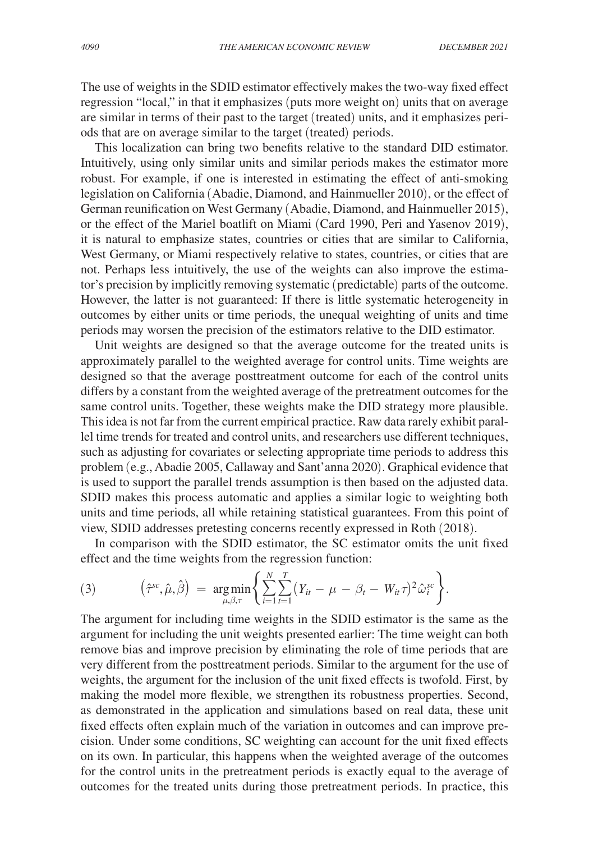The use of weights in the SDID estimator effectively makes the two-way fixed effect regression "local," in that it emphasizes (puts more weight on) units that on average are similar in terms of their past to the target (treated) units, and it emphasizes periods that are on average similar to the target (treated) periods.

This localization can bring two benefits relative to the standard DID estimator. Intuitively, using only similar units and similar periods makes the estimator more robust. For example, if one is interested in estimating the effect of anti-smoking legislation on California (Abadie, Diamond, and Hainmueller 2010), or the effect of German reunification on West Germany (Abadie, Diamond, and Hainmueller 2015), or the effect of the Mariel boatlift on Miami (Card 1990, Peri and Yasenov 2019), it is natural to emphasize states, countries or cities that are similar to California, West Germany, or Miami respectively relative to states, countries, or cities that are not. Perhaps less intuitively, the use of the weights can also improve the estimator's precision by implicitly removing systematic (predictable) parts of the outcome. However, the latter is not guaranteed: If there is little systematic heterogeneity in outcomes by either units or time periods, the unequal weighting of units and time periods may worsen the precision of the estimators relative to the DID estimator.

Unit weights are designed so that the average outcome for the treated units is approximately parallel to the weighted average for control units. Time weights are designed so that the average posttreatment outcome for each of the control units differs by a constant from the weighted average of the pretreatment outcomes for the same control units. Together, these weights make the DID strategy more plausible. This idea is not far from the current empirical practice. Raw data rarely exhibit parallel time trends for treated and control units, and researchers use different techniques, such as adjusting for covariates or selecting appropriate time periods to address this problem (e.g., Abadie 2005, Callaway and Sant'anna 2020). Graphical evidence that is used to support the parallel trends assumption is then based on the adjusted data. SDID makes this process automatic and applies a similar logic to weighting both units and time periods, all while retaining statistical guarantees. From this point of view, SDID addresses pretesting concerns recently expressed in Roth (2018).

In comparison with the SDID estimator, the SC estimator omits the unit fixed effect and the time weights from the regression function:

(3) 
$$
\left(\hat{\tau}^{sc}, \hat{\mu}, \hat{\beta}\right) = \underset{\mu, \beta, \tau}{\arg \min} \left\{ \sum_{i=1}^N \sum_{t=1}^T \left(Y_{it} - \mu - \beta_t - W_{it} \tau\right)^2 \hat{\omega}_i^{sc} \right\}.
$$

The argument for including time weights in the SDID estimator is the same as the argument for including the unit weights presented earlier: The time weight can both remove bias and improve precision by eliminating the role of time periods that are very different from the posttreatment periods. Similar to the argument for the use of weights, the argument for the inclusion of the unit fixed effects is twofold. First, by making the model more flexible, we strengthen its robustness properties. Second, as demonstrated in the application and simulations based on real data, these unit fixed effects often explain much of the variation in outcomes and can improve precision. Under some conditions, SC weighting can account for the unit fixed effects on its own. In particular, this happens when the weighted average of the outcomes for the control units in the pretreatment periods is exactly equal to the average of outcomes for the treated units during those pretreatment periods. In practice, this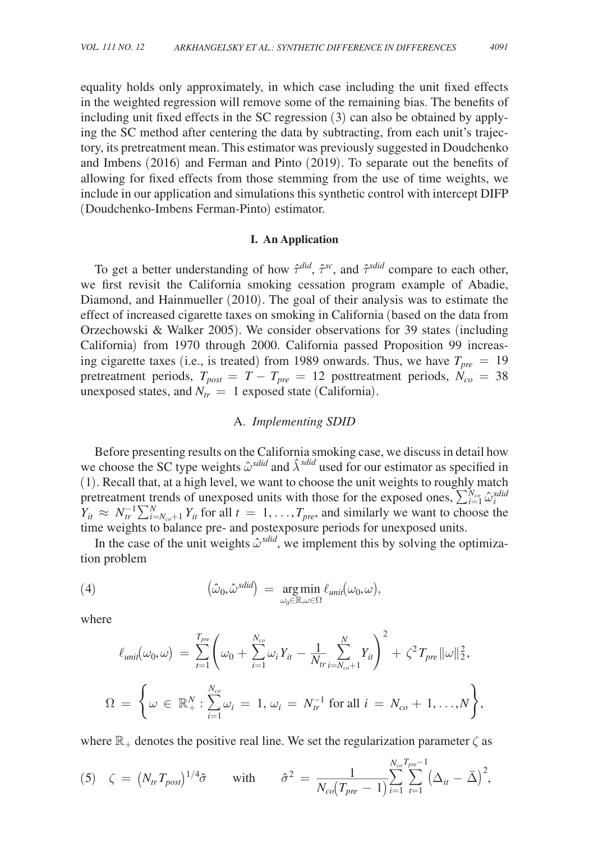equality holds only approximately, in which case including the unit fixed effects in the weighted regression will remove some of the remaining bias. The benefits of including unit fixed effects in the SC regression (3) can also be obtained by applying the SC method after centering the data by subtracting, from each unit's trajectory, its pretreatment mean. This estimator was previously suggested in Doudchenko and Imbens (2016) and Ferman and Pinto (2019). To separate out the benefits of allowing for fixed effects from those stemming from the use of time weights, we include in our application and simulations this synthetic control with intercept DIFP (Doudchenko-Imbens Ferman-Pinto) estimator.

# **I. An Application**

To get a better understanding of how  $\hat{\tau}^{did}$ ,  $\hat{\tau}^{sc}$ , and  $\hat{\tau}^{sdid}$  compare to each other, we first revisit the California smoking cessation program example of Abadie, Diamond, and Hainmueller (2010). The goal of their analysis was to estimate the effect of increased cigarette taxes on smoking in California (based on the data from Orzechowski & Walker 2005). We consider observations for 39 states (including California) from 1970 through 2000. California passed Proposition 99 increasing cigarette taxes (i.e., is treated) from 1989 onwards. Thus, we have  $T_{pre} = 19$ pretreatment periods,  $T_{post} = T - T_{pre} = 12$  posttreatment periods,  $N_{co} = 38$ unexposed states, and  $N_{tr} = 1$  exposed state (California).

# A. *Implementing SDID*

Before presenting results on the California smoking case, we discuss in detail how we choose the SC type weights  $\hat{\omega}^{sdid}$  and  $\hat{\lambda}^{sdid}$  used for our estimator as specified in (1). Recall that, at a high level, we want to choose the unit weights to roughly match pretreatment trends of unexposed units with those for the exposed ones,  $\sum_{i=1}^{N_{co}} \hat{\omega}_i^{sdid}$  $Y_{it} \approx N_{tr}^{-1} \sum_{i=N_{co}+1}^{N} Y_{it}$  for all  $t = 1, ..., T_{pre}$ , and similarly we want to choose the time weights to balance pre- and postexposure periods for unexposed units.

In the case of the unit weights  $\hat{\omega}^{sdid}$ , we implement this by solving the optimization problem

(4) 
$$
\left(\hat{\omega}_0, \hat{\omega}^{\text{sdid}}\right) = \underset{\omega_0 \in \mathbb{R}, \omega \in \Omega}{\arg \min} \ell_{\text{unit}}(\omega_0, \omega),
$$

where

$$
\ell_{unit}(\omega_0, \omega) = \sum_{t=1}^{T_{pre}} \left( \omega_0 + \sum_{i=1}^{N_{co}} \omega_i Y_{it} - \frac{1}{N_{tr}} \sum_{i=N_{co}+1}^{N} Y_{it} \right)^2 + \zeta^2 T_{pre} ||\omega||_2^2,
$$
  

$$
\Omega = \left\{ \omega \in \mathbb{R}_+^N : \sum_{i=1}^{N_{co}} \omega_i = 1, \omega_i = N_{tr}^{-1} \text{ for all } i = N_{co} + 1, ..., N \right\},\
$$

where  $\mathbb{R}_+$  denotes the positive real line. We set the regularization parameter  $\zeta$  as

where 
$$
\mathbb{R}_+
$$
 denotes the positive real line. We set the regularization parameter  $\zeta$  as  
\n
$$
\zeta = (N_{tr}T_{post})^{1/4}\hat{\sigma} \qquad \text{with} \qquad \hat{\sigma}^2 = \frac{1}{N_{co}(T_{pre}-1)} \sum_{i=1}^{N_{co}T_{pre}-1} (\Delta_{it} - \bar{\Delta})^2,
$$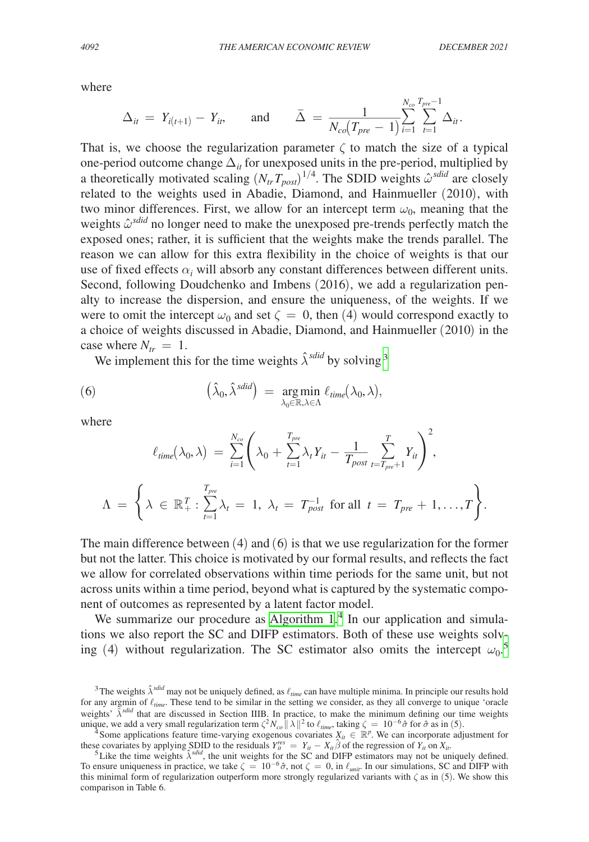where

THE AMERICAN ECONOMIC REVIEW

\nDECE

\nwhere

\n
$$
\Delta_{it} = Y_{i(t+1)} - Y_{it}, \quad \text{and} \quad \bar{\Delta} = \frac{1}{N_{co}(T_{pre} - 1)} \sum_{i=1}^{N_{co}} \sum_{t=1}^{T_{pre} - 1} \Delta_{it}.
$$
\nThat is, we choose the regularization parameter  $\zeta$  to match the size of one-period outcome change  $\Delta$ , for unexposed units in the pre-period multijates.

That is, we choose the regularization parameter  $\zeta$  to match the size of a typical one-period outcome change  $\Delta_{it}$  for unexposed units in the pre-period, multiplied by a theoretically motivated scaling  $(N_{tr}T_{post})^{1/4}$ . The SDID weights  $\hat{\omega}^{sdid}$  are closely related to the weights used in Abadie, Diamond, and Hainmueller (2010), with two minor differences. First, we allow for an intercept term  $\omega_0$ , meaning that the weights  $\hat{\omega}^{sdid}$  no longer need to make the unexposed pre-trends perfectly match the exposed ones; rather, it is sufficient that the weights make the trends parallel. The reason we can allow for this extra flexibility in the choice of weights is that our use of fixed effects  $\alpha_i$  will absorb any constant differences between different units. Second, following Doudchenko and Imbens (2016), we add a regularization penalty to increase the dispersion, and ensure the uniqueness, of the weights. If we were to omit the intercept  $\omega_0$  and set  $\zeta = 0$ , then (4) would correspond exactly to a choice of weights discussed in Abadie, Diamond, and Hainmueller (2010) in the case where  $N_{tr} = 1$ .

We implement this for the time weights  $\hat{\lambda}^{sdid}$  by solving<sup>3</sup>

(6) 
$$
\left(\hat{\lambda}_0, \hat{\lambda}^{\text{sdid}}\right) = \underset{\lambda_0 \in \mathbb{R}, \lambda \in \Lambda}{\arg \min} \ell_{\text{time}}(\lambda_0, \lambda),
$$

where

$$
\ell_{time}(\lambda_0, \lambda) = \sum_{i=1}^{N_{co}} \left( \lambda_0 + \sum_{t=1}^{T_{pre}} \lambda_t Y_{it} - \frac{1}{T_{post}} \sum_{t=T_{pre}+1}^{T} Y_{it} \right)^2,
$$
  

$$
\Lambda = \left\{ \lambda \in \mathbb{R}_+^T : \sum_{t=1}^{T_{pre}} \lambda_t = 1, \lambda_t = T_{post}^{-1} \text{ for all } t = T_{pre} + 1, ..., T \right\}.
$$

The main difference between (4) and (6) is that we use regularization for the former but not the latter. This choice is motivated by our formal results, and reflects the fact we allow for correlated observations within time periods for the same unit, but not across units within a time period, beyond what is captured by the systematic component of outcomes as represented by a latent factor model.

We summarize our procedure as [Algorithm 1](#page-5-0).<sup>4</sup> In our application and simulations we also report the SC and DIFP estimators. Both of these use weights solving (4) without regularization. The SC estimator also omits the intercept  $\omega_0$ <sup>5</sup>

<sup>&</sup>lt;sup>3</sup>The weights  $\hat{\lambda}^{sdid}$  may not be uniquely defined, as  $\ell_{time}$  can have multiple minima. In principle our results hold for any argmin of  $\ell_{time}$ . These tend to be similar in the setting we consider, as they all converge to unique 'oracle weights'  $\tilde{\lambda}^{sdid}$  that are discussed in Section IIIB. In practice, to make the minimum defining our time weights

unique, we add a very small regularization term  $\zeta^2 N_{co} ||\lambda||^2$  to  $\ell_{time}$ , taking  $\zeta = 10^{-6} \hat{\sigma}$  for  $\hat{\sigma}$  as in (5).<br><sup>4</sup> Some applications feature time-varying exogenous covariates  $X_{it} \in \mathbb{R}^p$ . We can incorp these covariates by applying SDID to the residuals  $Y_{i}^{res} = Y_{i} - X_{i} \hat{\beta}$  of the regression of  $Y_{i}$  on  $X_{i}$ .<br><sup>5</sup> Like the time weights  $\hat{\lambda}^{sdid}$ , the unit weights for the SC and DIFP estimators may not be uniquely

To ensure uniqueness in practice, we take  $\zeta = 10^{-6}\hat{\sigma}$ , not  $\zeta = 0$ , in  $\ell_{unit}$ . In our simulations, SC and DIFP with this minimal form of regularization outperform more strongly regularized variants with  $\zeta$  as in (5). We show this comparison in Table 6.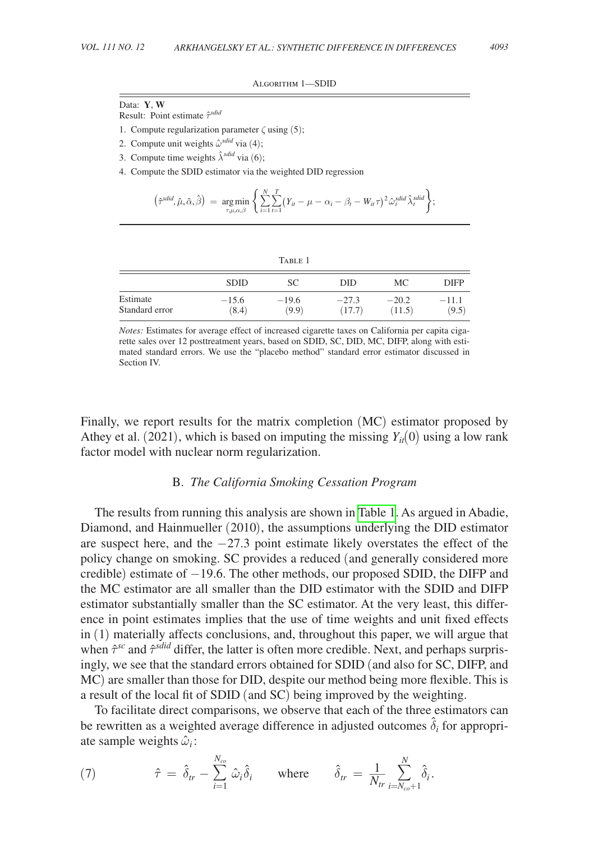Algorithm 1—SDID

<span id="page-5-0"></span>Data: **Y**, **W**

Result: Point estimate  $\hat{\tau}^{sdid}$ 

- 1. Compute regularization parameter  $\zeta$  using (5);
- 2. Compute unit weights  $\hat{\omega}^{sdid}$  via (4);
- 3. Compute time weights  $\hat{\lambda}^{sdid}$  via (6);
- 4. Compute the SDID estimator via the weighted DID regression

$$
\left(\hat{\tau}^{\text{add}}, \hat{\mu}, \hat{\alpha}, \hat{\beta}\right) = \underset{\tau, \mu, \alpha, \beta}{\text{arg min}} \left\{ \sum_{i=1}^{N} \sum_{t=1}^{T} \left(Y_{it} - \mu - \alpha_i - \beta_t - W_{it}\tau\right)^2 \hat{\omega}_i^{\text{add}} \hat{\lambda}_i^{\text{add}} \right\};
$$

|                | <b>SDID</b> | SС      | DID     | МC      | <b>DIFP</b> |
|----------------|-------------|---------|---------|---------|-------------|
| Estimate       | $-15.6$     | $-19.6$ | $-27.3$ | $-20.2$ | $-11.1$     |
| Standard error | (8.4)       | (9.9)   | (17.7)  | (11.5)  | (9.5)       |

*Notes:* Estimates for average effect of increased cigarette taxes on California per capita cigarette sales over 12 posttreatment years, based on SDID, SC, DID, MC, DIFP, along with estimated standard errors. We use the "placebo method" standard error estimator discussed in Section IV.

Finally, we report results for the matrix completion (MC) estimator proposed by Athey et al. (2021), which is based on imputing the missing  $Y_{it}(0)$  using a low rank factor model with nuclear norm regularization.

# B. *The California Smoking Cessation Program*

The results from running this analysis are shown in Table 1. As argued in Abadie, Diamond, and Hainmueller (2010), the assumptions underlying the DID estimator are suspect here, and the −27.3 point estimate likely overstates the effect of the policy change on smoking. SC provides a reduced (and generally considered more credible) estimate of −19.6. The other methods, our proposed SDID, the DIFP and the MC estimator are all smaller than the DID estimator with the SDID and DIFP estimator substantially smaller than the SC estimator. At the very least, this difference in point estimates implies that the use of time weights and unit fixed effects in (1) materially affects conclusions, and, throughout this paper, we will argue that when  $\hat{\tau}^{sc}$  and  $\hat{\tau}^{sdid}$  differ, the latter is often more credible. Next, and perhaps surprisingly, we see that the standard errors obtained for SDID (and also for SC, DIFP, and MC) are smaller than those for DID, despite our method being more flexible. This is a result of the local fit of SDID (and SC) being improved by the weighting.

To facilitate direct comparisons, we observe that each of the three estimators can be rewritten as a weighted average difference in adjusted outcomes  $\hat{\delta}_i$  for appropriate sample weights  $\hat{\omega}_i$ :

(7) 
$$
\hat{\tau} = \hat{\delta}_{tr} - \sum_{i=1}^{N_{co}} \hat{\omega}_i \hat{\delta}_i \quad \text{where} \quad \hat{\delta}_{tr} = \frac{1}{N_{tr}} \sum_{i=N_{co}+1}^{N} \hat{\delta}_i.
$$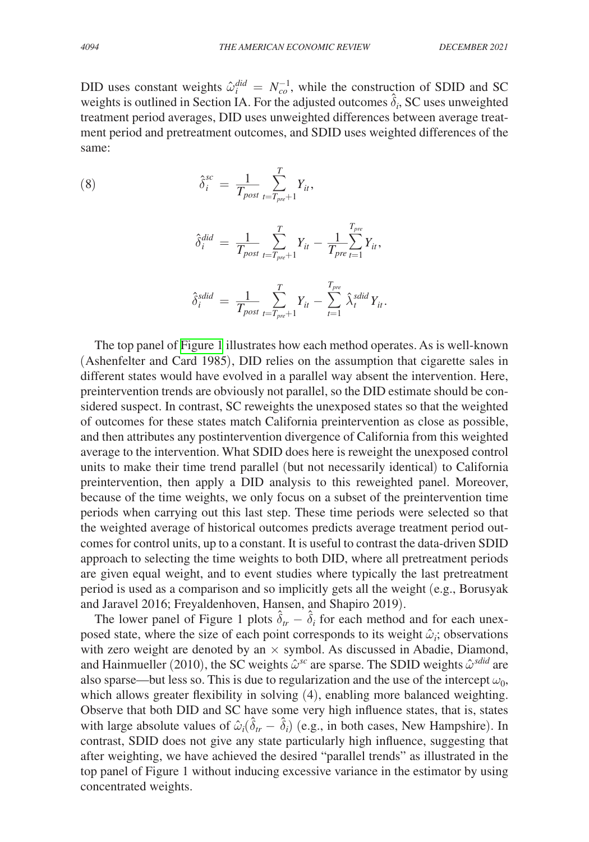DID uses constant weights  $\hat{\omega}_i^{did} = N_{co}^{-1}$ , while the construction of SDID and SC weights is outlined in Section IA. For the adjusted outcomes  $\hat{\delta}_i$ , SC uses unweighted treatment period averages, DID uses unweighted differences between average treatment period and pretreatment outcomes, and SDID uses weighted differences of the same:

(8) 
$$
\hat{\delta}_i^{sc} = \frac{1}{T_{post}} \sum_{t=T_{pre}+1}^T Y_{it},
$$

$$
\hat{\delta}_i^{did} = \frac{1}{T_{post}} \sum_{t=T_{pre}+1}^T Y_{it} - \frac{1}{T_{pre}} \sum_{t=1}^{T_{pre}} Y_{it},
$$

$$
\hat{\delta}_i^{\text{sid}} = \frac{1}{T_{\text{post}}} \sum_{t=T_{\text{pre}}+1}^{T} Y_{it} - \sum_{t=1}^{T_{\text{pre}}} \hat{\lambda}_t^{\text{sid}} Y_{it}.
$$

The top panel of [Figure 1](#page-7-0) illustrates how each method operates. As is well-known (Ashenfelter and Card 1985), DID relies on the assumption that cigarette sales in different states would have evolved in a parallel way absent the intervention. Here, preintervention trends are obviously not parallel, so the DID estimate should be considered suspect. In contrast, SC reweights the unexposed states so that the weighted of outcomes for these states match California preintervention as close as possible, and then attributes any postintervention divergence of California from this weighted average to the intervention. What SDID does here is reweight the unexposed control units to make their time trend parallel (but not necessarily identical) to California preintervention, then apply a DID analysis to this reweighted panel. Moreover, because of the time weights, we only focus on a subset of the preintervention time periods when carrying out this last step. These time periods were selected so that the weighted average of historical outcomes predicts average treatment period outcomes for control units, up to a constant. It is useful to contrast the data-driven SDID approach to selecting the time weights to both DID, where all pretreatment periods are given equal weight, and to event studies where typically the last pretreatment period is used as a comparison and so implicitly gets all the weight (e.g., Borusyak and Jaravel 2016; Freyaldenhoven, Hansen, and Shapiro 2019).

The lower panel of Figure 1 plots  $\hat{\delta}_{tr} - \hat{\delta}_i$  for each method and for each unexposed state, where the size of each point corresponds to its weight  $\hat{\omega}_i$ ; observations with zero weight are denoted by an  $\times$  symbol. As discussed in Abadie, Diamond, and Hainmueller (2010), the SC weights  $\hat{\omega}^{sc}$  are sparse. The SDID weights  $\hat{\omega}^{sdid}$  are also sparse—but less so. This is due to regularization and the use of the intercept  $\omega_0$ , which allows greater flexibility in solving (4), enabling more balanced weighting. Observe that both DID and SC have some very high influence states, that is, states with large absolute values of  $\hat{\omega}_i(\hat{\delta}_{tr} - \hat{\delta}_i)$  (e.g., in both cases, New Hampshire). In contrast, SDID does not give any state particularly high influence, suggesting that after weighting, we have achieved the desired "parallel trends" as illustrated in the top panel of Figure 1 without inducing excessive variance in the estimator by using concentrated weights.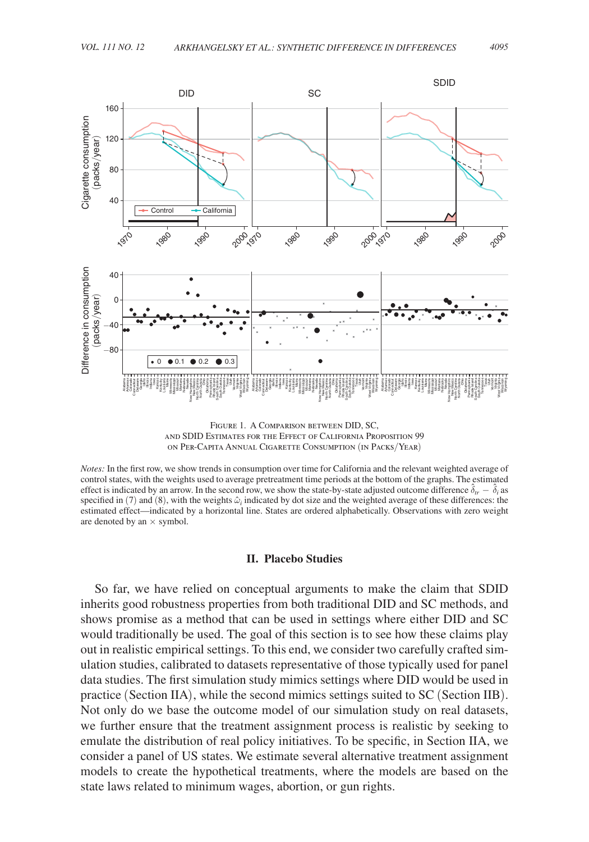<span id="page-7-0"></span>

Figure 1. A Comparison between DID, SC, and SDID Estimates for the Effect of California Proposition 99 on Per-Capita Annual Cigarette Consumption (in Packs/Year)

*Notes:* In the first row, we show trends in consumption over time for California and the relevant weighted average of control states, with the weights used to average pretreatment time periods at the bottom of the graphs. The estimated effect is indicated by an arrow. In the second row, we show the state-by-state adjusted outcome difference  $\hat{\delta}_{tr} - \hat{\delta}_i$  as specified in (7) and (8), with the weights  $\hat{\omega}_i$  indicated by dot size and the weighted average of these differences: the estimated effect—indicated by a horizontal line. States are ordered alphabetically. Observations with zero weight are denoted by an  $\times$  symbol.

#### **II. Placebo Studies**

So far, we have relied on conceptual arguments to make the claim that SDID inherits good robustness properties from both traditional DID and SC methods, and shows promise as a method that can be used in settings where either DID and SC would traditionally be used. The goal of this section is to see how these claims play out in realistic empirical settings. To this end, we consider two carefully crafted simulation studies, calibrated to datasets representative of those typically used for panel data studies. The first simulation study mimics settings where DID would be used in practice (Section IIA), while the second mimics settings suited to SC (Section IIB). Not only do we base the outcome model of our simulation study on real datasets, we further ensure that the treatment assignment process is realistic by seeking to emulate the distribution of real policy initiatives. To be specific, in Section IIA, we consider a panel of US states. We estimate several alternative treatment assignment models to create the hypothetical treatments, where the models are based on the state laws related to minimum wages, abortion, or gun rights.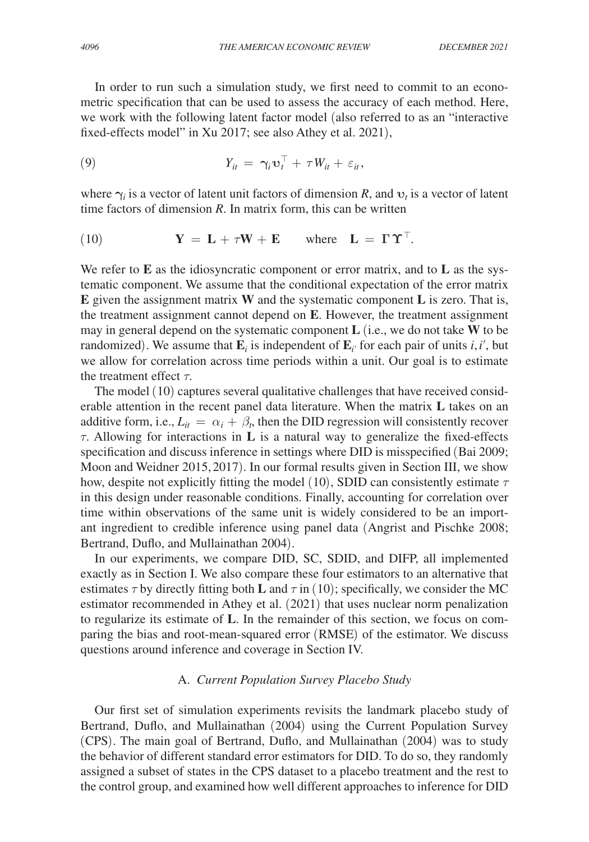In order to run such a simulation study, we first need to commit to an econometric specification that can be used to assess the accuracy of each method. Here, we work with the following latent factor model (also referred to as an "interactive fixed-effects model" in Xu 2017; see also Athey et al. 2021),

$$
(9) \t Y_{it} = \gamma_i \mathbf{v}_t^{\top} + \tau W_{it} + \varepsilon_{it},
$$

where  $\gamma_i$  is a vector of latent unit factors of dimension *R*, and  $v_t$  is a vector of latent time factors of dimension *R*. In matrix form, this can be written

(10) 
$$
\mathbf{Y} = \mathbf{L} + \tau \mathbf{W} + \mathbf{E} \quad \text{where} \quad \mathbf{L} = \boldsymbol{\Gamma} \boldsymbol{\Upsilon}^{\top}.
$$

We refer to **E** as the idiosyncratic component or error matrix, and to **L** as the systematic component. We assume that the conditional expectation of the error matrix **E** given the assignment matrix **W** and the systematic component **L** is zero. That is, the treatment assignment cannot depend on **E**. However, the treatment assignment may in general depend on the systematic component **L** (i.e., we do not take **W** to be randomized). We assume that  $\mathbf{E}_i$  is independent of  $\mathbf{E}_{i'}$  for each pair of units *i*, *i'*, but we allow for correlation across time periods within a unit. Our goal is to estimate the treatment effect  $\tau$ .

The model (10) captures several qualitative challenges that have received considerable attention in the recent panel data literature. When the matrix **L** takes on an additive form, i.e.,  $L_{it} = \alpha_i + \beta_t$ , then the DID regression will consistently recover τ. Allowing for interactions in **L** is a natural way to generalize the fixed-effects specification and discuss inference in settings where DID is misspecified (Bai 2009; Moon and Weidner 2015, 2017). In our formal results given in Section III, we show how, despite not explicitly fitting the model (10), SDID can consistently estimate  $\tau$ in this design under reasonable conditions. Finally, accounting for correlation over time within observations of the same unit is widely considered to be an important ingredient to credible inference using panel data (Angrist and Pischke 2008; Bertrand, Duflo, and Mullainathan 2004).

In our experiments, we compare DID, SC, SDID, and DIFP, all implemented exactly as in Section I. We also compare these four estimators to an alternative that estimates  $\tau$  by directly fitting both **L** and  $\tau$  in (10); specifically, we consider the MC estimator recommended in Athey et al. (2021) that uses nuclear norm penalization to regularize its estimate of **L**. In the remainder of this section, we focus on comparing the bias and root-mean-squared error (RMSE) of the estimator. We discuss questions around inference and coverage in Section IV.

# A. *Current Population Survey Placebo Study*

Our first set of simulation experiments revisits the landmark placebo study of Bertrand, Duflo, and Mullainathan (2004) using the Current Population Survey (CPS). The main goal of Bertrand, Duflo, and Mullainathan (2004) was to study the behavior of different standard error estimators for DID. To do so, they randomly assigned a subset of states in the CPS dataset to a placebo treatment and the rest to the control group, and examined how well different approaches to inference for DID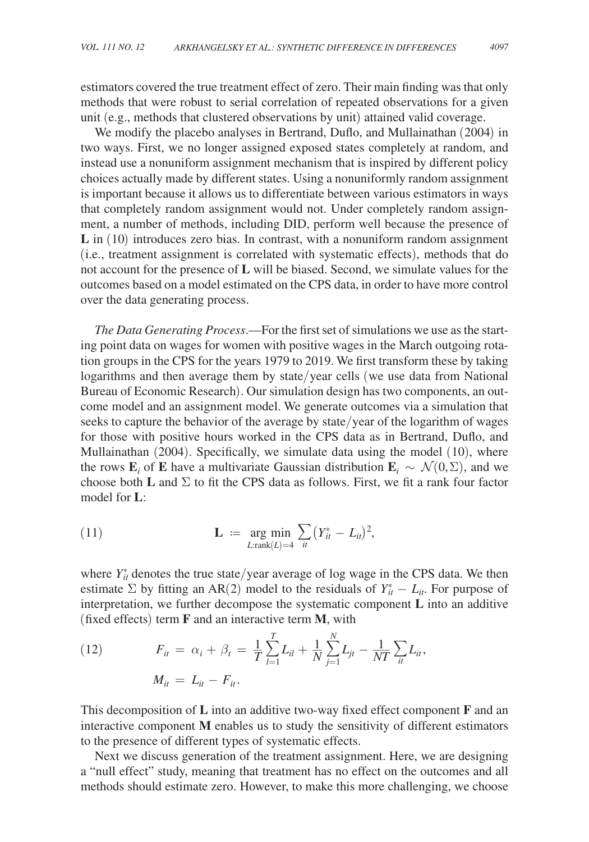estimators covered the true treatment effect of zero. Their main finding was that only methods that were robust to serial correlation of repeated observations for a given unit (e.g., methods that clustered observations by unit) attained valid coverage.

We modify the placebo analyses in Bertrand, Duflo, and Mullainathan (2004) in two ways. First, we no longer assigned exposed states completely at random, and instead use a nonuniform assignment mechanism that is inspired by different policy choices actually made by different states. Using a nonuniformly random assignment is important because it allows us to differentiate between various estimators in ways that completely random assignment would not. Under completely random assignment, a number of methods, including DID, perform well because the presence of **L** in (10) introduces zero bias. In contrast, with a nonuniform random assignment (i.e., treatment assignment is correlated with systematic effects), methods that do not account for the presence of **L** will be biased. Second, we simulate values for the outcomes based on a model estimated on the CPS data, in order to have more control over the data generating process.

*The Data Generating Process*.—For the first set of simulations we use as the starting point data on wages for women with positive wages in the March outgoing rotation groups in the CPS for the years 1979 to 2019. We first transform these by taking logarithms and then average them by state/year cells (we use data from National Bureau of Economic Research). Our simulation design has two components, an outcome model and an assignment model. We generate outcomes via a simulation that seeks to capture the behavior of the average by state/year of the logarithm of wages for those with positive hours worked in the CPS data as in Bertrand, Duflo, and Mullainathan (2004). Specifically, we simulate data using the model (10), where the rows  $\mathbf{E}_i$  of **E** have a multivariate Gaussian distribution  $\mathbf{E}_i \sim \mathcal{N}(0, \Sigma)$ , and we choose both **L** and  $\Sigma$  to fit the CPS data as follows. First, we fit a rank four factor model for **L**:

(11) 
$$
\mathbf{L} := \underset{L:\text{rank}(L)=4}{\arg \min} \sum_{it} (Y_{it}^* - L_{it})^2,
$$

where  $Y_{it}^*$  denotes the true state/year average of log wage in the CPS data. We then estimate  $\Sigma$  by fitting an AR(2) model to the residuals of  $Y_{it}^* - L_{it}$ . For purpose of interpretation, we further decompose the systematic component **L** into an additive (fixed effects) term **F** and an interactive term **M**, with

(12) 
$$
F_{it} = \alpha_i + \beta_t = \frac{1}{T} \sum_{l=1}^{T} L_{il} + \frac{1}{N} \sum_{j=1}^{N} L_{jt} - \frac{1}{NT} \sum_{it} L_{it},
$$

$$
M_{it} = L_{it} - F_{it}.
$$

This decomposition of **L** into an additive two-way fixed effect component **F** and an interactive component **M** enables us to study the sensitivity of different estimators to the presence of different types of systematic effects.

Next we discuss generation of the treatment assignment. Here, we are designing a "null effect" study, meaning that treatment has no effect on the outcomes and all methods should estimate zero. However, to make this more challenging, we choose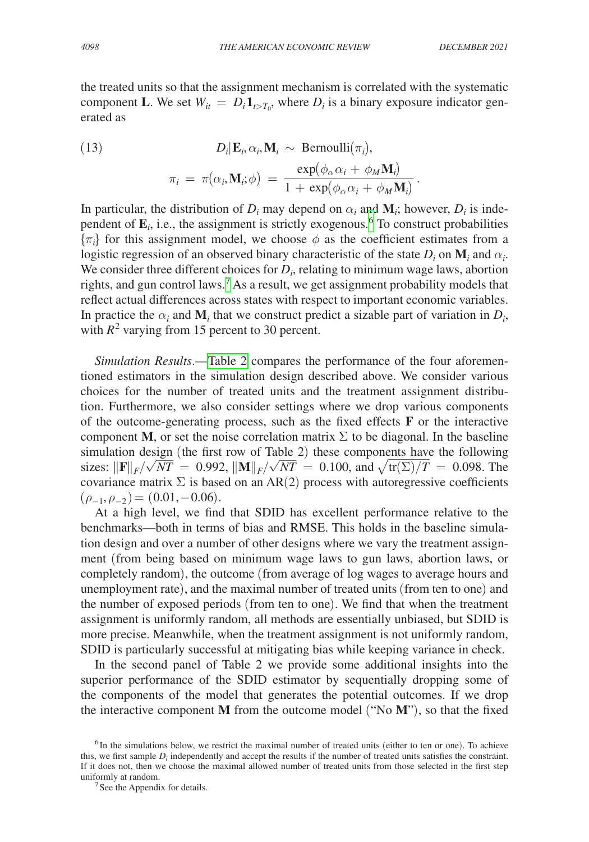the treated units so that the assignment mechanism is correlated with the systematic component **L**. We set  $W_{it} = D_i \mathbf{1}_{t>T_0}$ , where  $D_i$  is a binary exposure indicator generated as

(13) 
$$
D_i | \mathbf{E}_i, \alpha_i, \mathbf{M}_i \sim \text{Bernoulli}(\pi_i),
$$

$$
\pi_i = \pi(\alpha_i, \mathbf{M}_i; \phi) = \frac{\exp(\phi_\alpha \alpha_i + \phi_M \mathbf{M}_i)}{1 + \exp(\phi_\alpha \alpha_i + \phi_M \mathbf{M}_i)}.
$$
  
In particular, the distribution of  $D_i$  may depend on  $\alpha_i$  and  $\mathbf{M}_i$ ; however,  $D_i$  is inde-

pendent of  $\mathbf{E}_i$ , i.e., the assignment is strictly exogenous.<sup>6</sup> To construct probabilities  $\{\pi_i\}$  for this assignment model, we choose  $\phi$  as the coefficient estimates from a logistic regression of an observed binary characteristic of the state  $D_i$  on  $\mathbf{M}_i$  and  $\alpha_i$ . We consider three different choices for  $D_i$ , relating to minimum wage laws, abortion rights, and gun control laws.<sup>7</sup> As a result, we get assignment probability models that reflect actual differences across states with respect to important economic variables. In practice the  $\alpha_i$  and  $\mathbf{M}_i$  that we construct predict a sizable part of variation in  $D_i$ , with  $R^2$  varying from 15 percent to 30 percent.

*Simulation Results*.[—Table 2](#page-11-0) compares the performance of the four aforementioned estimators in the simulation design described above. We consider various choices for the number of treated units and the treatment assignment distribution. Furthermore, we also consider settings where we drop various components of the outcome-generating process, such as the fixed effects **F** or the interactive component **M**, or set the noise correlation matrix  $\Sigma$  to be diagonal. In the baseline simulation design (the first row of Table 2) these components have the following sizes:  $\|\mathbf{F}\|_{\rm F}/\sqrt{NT} = 0.992$ .  $\|\mathbf{M}\|_{\rm F}/\sqrt{NT} = 0.100$ , and  $\sqrt{\text{tr}(\Sigma)/T} = 0.098$ . The sizes:  $\|\mathbf{F}\|_F / \sqrt{NT} = 0.992$ ,  $\|\mathbf{M}\|_F / \sqrt{NT} = 0.100$ , and  $\sqrt{\text{tr}(\Sigma)/T} = 0.098$ . The covariance matrix  $\Sigma$  is based on an AR(2) process with autoregressive coefficients  $(\rho_{-1}, \rho_{-2})$  = (0.01, -0.06).

At a high level, we find that SDID has excellent performance relative to the benchmarks—both in terms of bias and RMSE. This holds in the baseline simulation design and over a number of other designs where we vary the treatment assignment (from being based on minimum wage laws to gun laws, abortion laws, or completely random), the outcome (from average of log wages to average hours and unemployment rate), and the maximal number of treated units (from ten to one) and the number of exposed periods (from ten to one). We find that when the treatment assignment is uniformly random, all methods are essentially unbiased, but SDID is more precise. Meanwhile, when the treatment assignment is not uniformly random, SDID is particularly successful at mitigating bias while keeping variance in check.

In the second panel of Table 2 we provide some additional insights into the superior performance of the SDID estimator by sequentially dropping some of the components of the model that generates the potential outcomes. If we drop the interactive component **M** from the outcome model ("No **M**"), so that the fixed

<sup>&</sup>lt;sup>6</sup>In the simulations below, we restrict the maximal number of treated units (either to ten or one). To achieve this, we first sample  $D_i$  independently and accept the results if the number of treated units satisfies the constraint. If it does not, then we choose the maximal allowed number of treated units from those selected in the first step uniformly at random.<br> $7$ See the Appendix for details.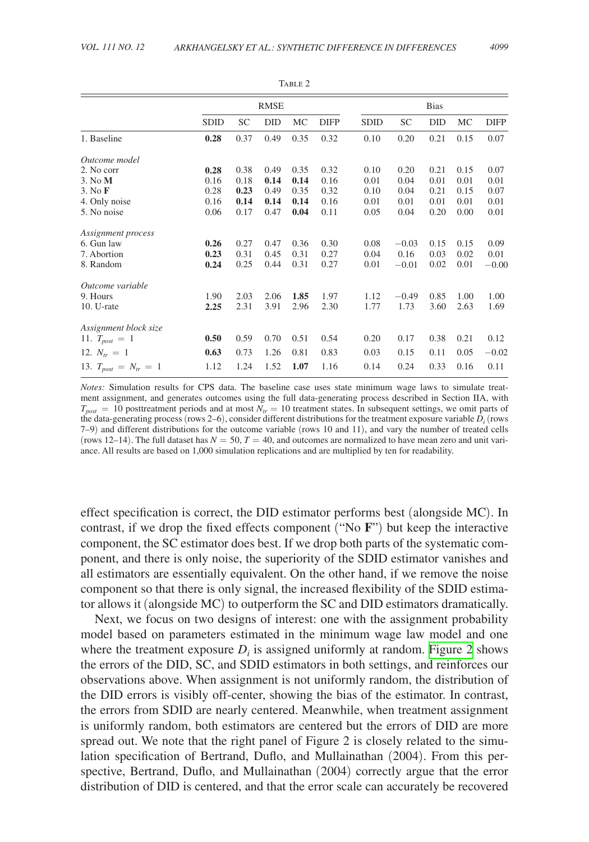<span id="page-11-0"></span>

|                             |             |      | <b>RMSE</b> |      |             |             |         | <b>Bias</b> |      |             |
|-----------------------------|-------------|------|-------------|------|-------------|-------------|---------|-------------|------|-------------|
|                             | <b>SDID</b> | SC   | DID         | MC   | <b>DIFP</b> | <b>SDID</b> | SC      | <b>DID</b>  | MC   | <b>DIFP</b> |
| 1. Baseline                 | 0.28        | 0.37 | 0.49        | 0.35 | 0.32        | 0.10        | 0.20    | 0.21        | 0.15 | 0.07        |
| Outcome model               |             |      |             |      |             |             |         |             |      |             |
| 2. No corr                  | 0.28        | 0.38 | 0.49        | 0.35 | 0.32        | 0.10        | 0.20    | 0.21        | 0.15 | 0.07        |
| $3.$ No $M$                 | 0.16        | 0.18 | 0.14        | 0.14 | 0.16        | 0.01        | 0.04    | 0.01        | 0.01 | 0.01        |
| 3. No <b>F</b>              | 0.28        | 0.23 | 0.49        | 0.35 | 0.32        | 0.10        | 0.04    | 0.21        | 0.15 | 0.07        |
| 4. Only noise               | 0.16        | 0.14 | 0.14        | 0.14 | 0.16        | 0.01        | 0.01    | 0.01        | 0.01 | 0.01        |
| 5. No noise                 | 0.06        | 0.17 | 0.47        | 0.04 | 0.11        | 0.05        | 0.04    | 0.20        | 0.00 | 0.01        |
| Assignment process          |             |      |             |      |             |             |         |             |      |             |
| 6. Gun law                  | 0.26        | 0.27 | 0.47        | 0.36 | 0.30        | 0.08        | $-0.03$ | 0.15        | 0.15 | 0.09        |
| 7. Abortion                 | 0.23        | 0.31 | 0.45        | 0.31 | 0.27        | 0.04        | 0.16    | 0.03        | 0.02 | 0.01        |
| 8. Random                   | 0.24        | 0.25 | 0.44        | 0.31 | 0.27        | 0.01        | $-0.01$ | 0.02        | 0.01 | $-0.00$     |
| Outcome variable            |             |      |             |      |             |             |         |             |      |             |
| 9. Hours                    | 1.90        | 2.03 | 2.06        | 1.85 | 1.97        | 1.12        | $-0.49$ | 0.85        | 1.00 | 1.00        |
| $10. U$ -rate               | 2.25        | 2.31 | 3.91        | 2.96 | 2.30        | 1.77        | 1.73    | 3.60        | 2.63 | 1.69        |
| Assignment block size       |             |      |             |      |             |             |         |             |      |             |
| 11. $T_{post} = 1$          | 0.50        | 0.59 | 0.70        | 0.51 | 0.54        | 0.20        | 0.17    | 0.38        | 0.21 | 0.12        |
| 12. $N_{tr} = 1$            | 0.63        | 0.73 | 1.26        | 0.81 | 0.83        | 0.03        | 0.15    | 0.11        | 0.05 | $-0.02$     |
| 13. $T_{post} = N_{tr} = 1$ | 1.12        | 1.24 | 1.52        | 1.07 | 1.16        | 0.14        | 0.24    | 0.33        | 0.16 | 0.11        |

TABLE 2

*Notes:* Simulation results for CPS data. The baseline case uses state minimum wage laws to simulate treatment assignment, and generates outcomes using the full data-generating process described in Section IIA, with  $T_{post} = 10$  posttreatment periods and at most  $N_{tr} = 10$  treatment states. In subsequent settings, we omit parts of the data-generating process (rows 2–6), consider different distributions for the treatment exposure variable  $\bar{D}_i$  (rows 7–9) and different distributions for the outcome variable (rows 10 and 11), and vary the number of treated cells (rows 12–14). The full dataset has  $N = 50$ ,  $T = 40$ , and outcomes are normalized to have mean zero and unit variance. All results are based on 1,000 simulation replications and are multiplied by ten for readability.

effect specification is correct, the DID estimator performs best (alongside MC). In contrast, if we drop the fixed effects component ("No **F**") but keep the interactive component, the SC estimator does best. If we drop both parts of the systematic component, and there is only noise, the superiority of the SDID estimator vanishes and all estimators are essentially equivalent. On the other hand, if we remove the noise component so that there is only signal, the increased flexibility of the SDID estimator allows it (alongside MC) to outperform the SC and DID estimators dramatically.

Next, we focus on two designs of interest: one with the assignment probability model based on parameters estimated in the minimum wage law model and one where the treatment exposure  $D_i$  is assigned uniformly at random. [Figure 2](#page-12-0) shows the errors of the DID, SC, and SDID estimators in both settings, and reinforces our observations above. When assignment is not uniformly random, the distribution of the DID errors is visibly off-center, showing the bias of the estimator. In contrast, the errors from SDID are nearly centered. Meanwhile, when treatment assignment is uniformly random, both estimators are centered but the errors of DID are more spread out. We note that the right panel of Figure 2 is closely related to the simulation specification of Bertrand, Duflo, and Mullainathan (2004). From this perspective, Bertrand, Duflo, and Mullainathan (2004) correctly argue that the error distribution of DID is centered, and that the error scale can accurately be recovered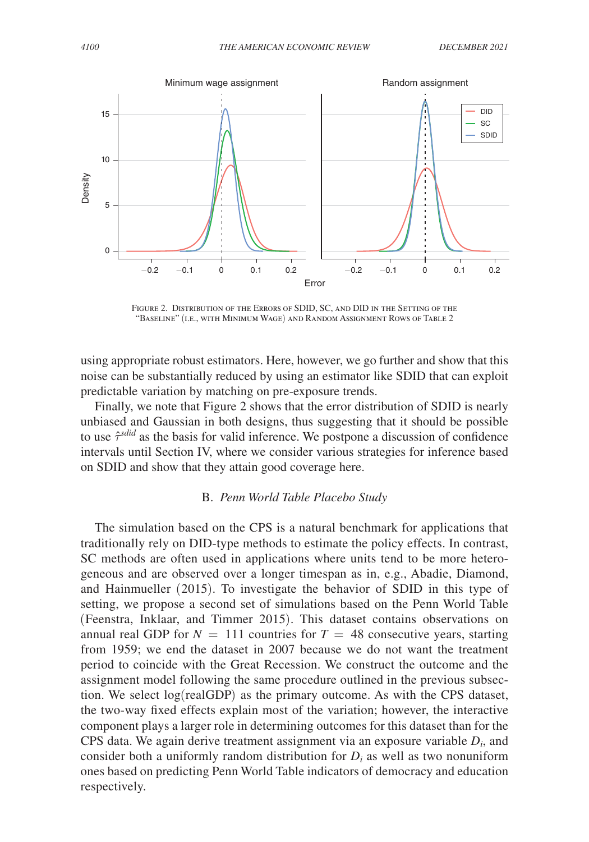<span id="page-12-0"></span>

Figure 2. Distribution of the Errors of SDID, SC, and DID in the Setting of the "Baseline" (i.e., with Minimum Wage) and Random Assignment Rows of Table 2

using appropriate robust estimators. Here, however, we go further and show that this noise can be substantially reduced by using an estimator like SDID that can exploit predictable variation by matching on pre-exposure trends.

Finally, we note that Figure 2 shows that the error distribution of SDID is nearly unbiased and Gaussian in both designs, thus suggesting that it should be possible to use  $\hat{\tau}^{sdid}$  as the basis for valid inference. We postpone a discussion of confidence intervals until Section IV, where we consider various strategies for inference based on SDID and show that they attain good coverage here.

# B. *Penn World Table Placebo Study*

The simulation based on the CPS is a natural benchmark for applications that traditionally rely on DID-type methods to estimate the policy effects. In contrast, SC methods are often used in applications where units tend to be more heterogeneous and are observed over a longer timespan as in, e.g., Abadie, Diamond, and Hainmueller (2015). To investigate the behavior of SDID in this type of setting, we propose a second set of simulations based on the Penn World Table (Feenstra, Inklaar, and Timmer 2015). This dataset contains observations on annual real GDP for  $N = 111$  countries for  $T = 48$  consecutive years, starting from 1959; we end the dataset in 2007 because we do not want the treatment period to coincide with the Great Recession. We construct the outcome and the assignment model following the same procedure outlined in the previous subsection. We select log(realGDP) as the primary outcome. As with the CPS dataset, the two-way fixed effects explain most of the variation; however, the interactive component plays a larger role in determining outcomes for this dataset than for the CPS data. We again derive treatment assignment via an exposure variable *Di*, and consider both a uniformly random distribution for  $D_i$  as well as two nonuniform ones based on predicting Penn World Table indicators of democracy and education respectively.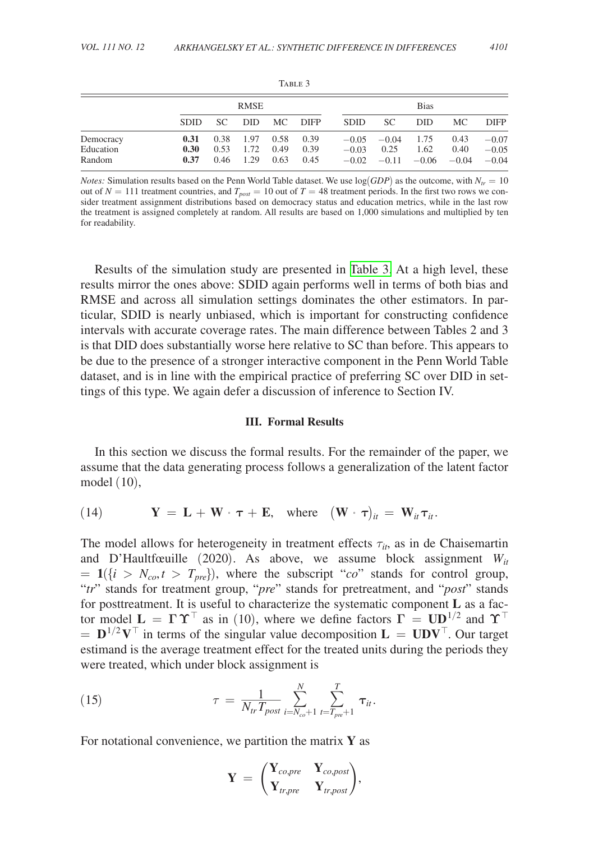|                                  |                      | <b>RMSE</b>          |                      |                      |                      |         | <b>Bias</b>                            |              |                                 |                               |  |
|----------------------------------|----------------------|----------------------|----------------------|----------------------|----------------------|---------|----------------------------------------|--------------|---------------------------------|-------------------------------|--|
|                                  | <b>SDID</b>          | SC -                 |                      | DID MC               | DIFP                 | SDID    | SC.                                    | DID.         | MC.                             | <b>DIFP</b>                   |  |
| Democracy<br>Education<br>Random | 0.31<br>0.30<br>0.37 | 0.38<br>0.53<br>0.46 | 1.97<br>1.72<br>1.29 | 0.58<br>0.49<br>0.63 | 0.39<br>0.39<br>0.45 | $-0.03$ | $-0.05 -0.04$<br>0.25<br>$-0.02 -0.11$ | 1.75<br>1.62 | 0.43<br>0.40<br>$-0.06$ $-0.04$ | $-0.07$<br>$-0.05$<br>$-0.04$ |  |

TABLE 3

*Notes:* Simulation results based on the Penn World Table dataset. We use  $log(GDP)$  as the outcome, with  $N<sub>tr</sub> = 10$ out of  $N = 111$  treatment countries, and  $T_{post} = 10$  out of  $T = 48$  treatment periods. In the first two rows we consider treatment assignment distributions based on democracy status and education metrics, while in the last row the treatment is assigned completely at random. All results are based on 1,000 simulations and multiplied by ten for readability.

Results of the simulation study are presented in Table 3. At a high level, these results mirror the ones above: SDID again performs well in terms of both bias and RMSE and across all simulation settings dominates the other estimators. In particular, SDID is nearly unbiased, which is important for constructing confidence intervals with accurate coverage rates. The main difference between Tables 2 and 3 is that DID does substantially worse here relative to SC than before. This appears to be due to the presence of a stronger interactive component in the Penn World Table dataset, and is in line with the empirical practice of preferring SC over DID in settings of this type. We again defer a discussion of inference to Section IV.

# **III. Formal Results**

In this section we discuss the formal results. For the remainder of the paper, we assume that the data generating process follows a generalization of the latent factor model (10),

(14) 
$$
\mathbf{Y} = \mathbf{L} + \mathbf{W} \cdot \boldsymbol{\tau} + \mathbf{E}
$$
, where  $(\mathbf{W} \cdot \boldsymbol{\tau})_{it} = \mathbf{W}_{it} \boldsymbol{\tau}_{it}$ .

The model allows for heterogeneity in treatment effects  $\tau_{it}$ , as in de Chaisemartin and D'Haultfœuille (2020). As above, we assume block assignment  $W_{it}$  $= 1$ ({*i* >  $N_{co}$ , *t* >  $T_{pre}$ }), where the subscript "*co*" stands for control group, "*tr*" stands for treatment group, "*pre*" stands for pretreatment, and "*post*" stands for posttreatment. It is useful to characterize the systematic component **L** as a factor model  $\mathbf{L} = \mathbf{\Gamma} \Upsilon^\top$  as in (10), where we define factors  $\mathbf{\Gamma} = \mathbf{U} \mathbf{D}^{1/2}$  and  $\Upsilon^\top$  $=$  **D**<sup>1/2</sup> **V**<sup>⊤</sup> in terms of the singular value decomposition **L** = **UDV**<sup>⊤</sup>. Our target estimand is the average treatment effect for the treated units during the periods they

were treated, which under block assignment is  
\n(15) 
$$
\tau = \frac{1}{N_{tr}T_{post}} \sum_{i=N_{co}+1}^{N} \sum_{t=T_{pre}+1}^{T} \tau_{it}.
$$

For notational convenience, we partition the matrix **Y** as

$$
\mathbf{Y}~=~\begin{pmatrix} \mathbf{Y}_{co,pre} & \mathbf{Y}_{co,post} \\ \mathbf{Y}_{tr,pre} & \mathbf{Y}_{tr,post} \end{pmatrix}\!,
$$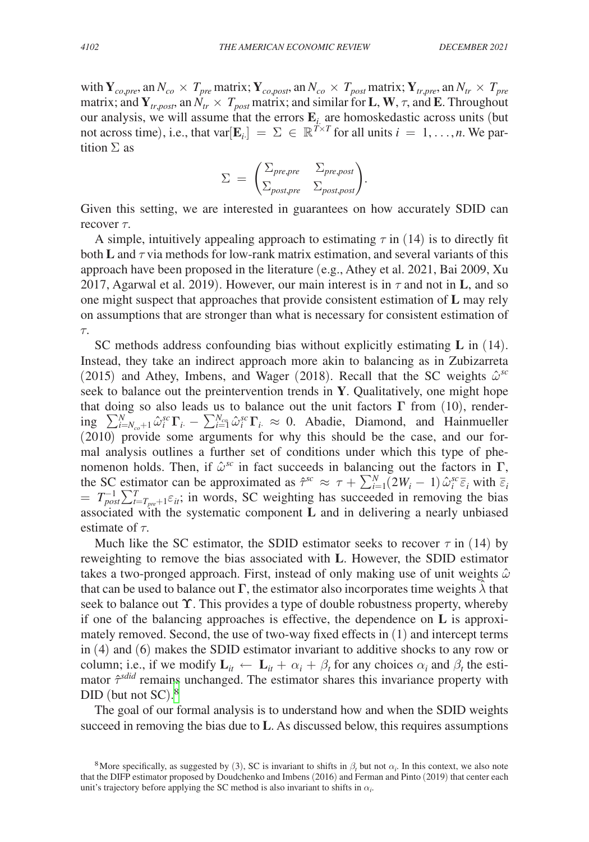with  $Y_{co,pre}$ , an  $N_{co} \times T_{pre}$  matrix;  $Y_{co,post}$ , an  $N_{co} \times T_{post}$  matrix;  $Y_{tr,pre}$ , an  $N_{tr} \times T_{pre}$ matrix; and  $Y_{tr,post}$ , an  $N_{tr} \times T_{post}$  matrix; and similar for **L**, **W**,  $\tau$ , and **E**. Throughout our analysis, we will assume that the errors  $\mathbf{E}_i$  are homoskedastic across units (but not across time), i.e., that var $[\mathbf{E}_i] = \Sigma \in \mathbb{R}^{T \times T}$  for all units  $i = 1, ..., n$ . We partition  $\Sigma$  as

dition 
$$
\Sigma
$$
 as

\n
$$
\Sigma = \begin{pmatrix} \Sigma_{pre, pre} & \Sigma_{pre, post} \\ \Sigma_{post, pre} & \Sigma_{post, post} \end{pmatrix}.
$$
\nGiven this setting, we are interested in guarantees on  $b$ .

Given this setting, we are interested in guarantees on how accurately SDID can recover  $\tau$ .

A simple, intuitively appealing approach to estimating  $\tau$  in (14) is to directly fit both **L** and  $\tau$  via methods for low-rank matrix estimation, and several variants of this approach have been proposed in the literature (e.g., Athey et al. 2021, Bai 2009, Xu 2017, Agarwal et al. 2019). However, our main interest is in  $\tau$  and not in **L**, and so one might suspect that approaches that provide consistent estimation of **L** may rely on assumptions that are stronger than what is necessary for consistent estimation of τ.

SC methods address confounding bias without explicitly estimating **L** in (14). Instead, they take an indirect approach more akin to balancing as in Zubizarreta (2015) and Athey, Imbens, and Wager (2018). Recall that the SC weights  $\hat{\omega}^{sc}$ seek to balance out the preintervention trends in **Y**. Qualitatively, one might hope that doing so also leads us to balance out the unit factors **Γ** from (10), rendering  $\sum_{i=N_{co}+1}^{N} \hat{\omega}_i^{sc} \Gamma_i - \sum_{i=1}^{N_{co}} \hat{\omega}_i^{sc} \Gamma_i \approx 0$ . Abadie, Diamond, and Hainmueller (2010) provide some arguments for why this should be the case, and our formal analysis outlines a further set of conditions under which this type of phenomenon holds. Then, if  $\hat{\omega}^{\text{sc}}$  in fact succeeds in balancing out the factors in  $\Gamma$ , the SC estimator can be approximated as  $\hat{\tau}^{sc} \approx \tau + \sum_{i=1}^{N} (2W_i - 1) \hat{\omega}_i^{sc} \overline{\varepsilon}_i$  with  $\overline{\varepsilon}_i$  $T_{post}^{-1}\sum_{t=T_{pre}+1}^{T}\varepsilon_{it}$ ; in words, SC weighting has succeeded in removing the bias associated with the systematic component **L** and in delivering a nearly unbiased estimate of  $\tau$ .

Much like the SC estimator, the SDID estimator seeks to recover  $\tau$  in (14) by reweighting to remove the bias associated with **L**. However, the SDID estimator takes a two-pronged approach. First, instead of only making use of unit weights  $\hat{\omega}$ that can be used to balance out  $\Gamma$ , the estimator also incorporates time weights  $\lambda$  that seek to balance out **ϒ**. This provides a type of double robustness property, whereby if one of the balancing approaches is effective, the dependence on **L** is approximately removed. Second, the use of two-way fixed effects in (1) and intercept terms in (4) and (6) makes the SDID estimator invariant to additive shocks to any row or column; i.e., if we modify  $\mathbf{L}_{it} \leftarrow \mathbf{L}_{it} + \alpha_i + \beta_t$  for any choices  $\alpha_i$  and  $\beta_t$  the estimator  $\hat{\tau}^{sdid}$  remains unchanged. The estimator shares this invariance property with DID (but not SC).<sup>8</sup>

The goal of our formal analysis is to understand how and when the SDID weights succeed in removing the bias due to **L**. As discussed below, this requires assumptions

<sup>&</sup>lt;sup>8</sup>More specifically, as suggested by (3), SC is invariant to shifts in  $\beta_t$  but not  $\alpha_i$ . In this context, we also note that the DIFP estimator proposed by Doudchenko and Imbens (2016) and Ferman and Pinto (2019) that center each unit's trajectory before applying the SC method is also invariant to shifts in  $\alpha_i$ .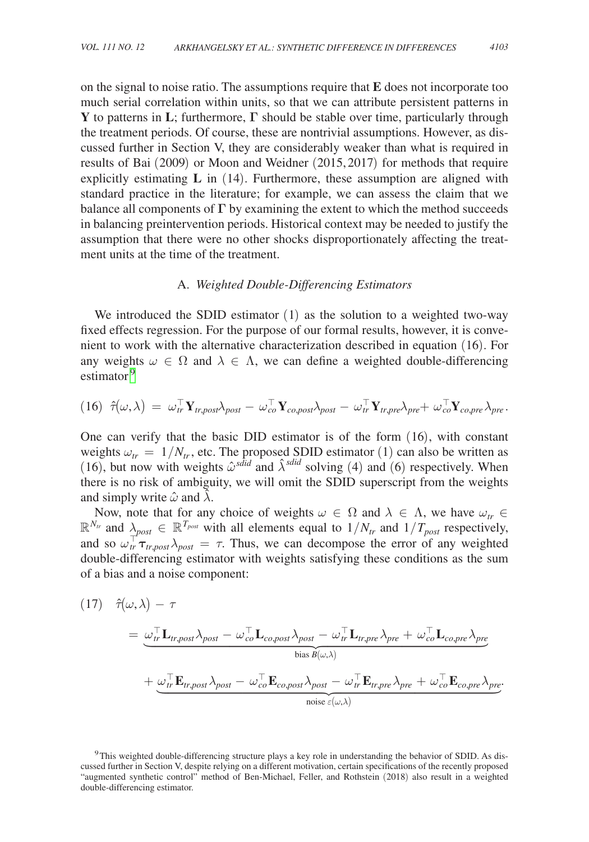on the signal to noise ratio. The assumptions require that **E** does not incorporate too much serial correlation within units, so that we can attribute persistent patterns in **Y** to patterns in **L**; furthermore, **Γ** should be stable over time, particularly through the treatment periods. Of course, these are nontrivial assumptions. However, as discussed further in Section V, they are considerably weaker than what is required in results of Bai (2009) or Moon and Weidner (2015, 2017) for methods that require explicitly estimating **L** in (14). Furthermore, these assumption are aligned with standard practice in the literature; for example, we can assess the claim that we balance all components of **Γ** by examining the extent to which the method succeeds in balancing preintervention periods. Historical context may be needed to justify the assumption that there were no other shocks disproportionately affecting the treatment units at the time of the treatment.

#### A. *Weighted Double-Differencing Estimators*

We introduced the SDID estimator (1) as the solution to a weighted two-way fixed effects regression. For the purpose of our formal results, however, it is convenient to work with the alternative characterization described in equation (16). For any weights  $\omega \in \Omega$  and  $\lambda \in \Lambda$ , we can define a weighted double-differencing estimator<sup>9</sup>

$$
(16) \hat{\tau}(\omega,\lambda) = \omega_{tr}^{\top} \mathbf{Y}_{tr,post} \lambda_{post} - \omega_{co}^{\top} \mathbf{Y}_{co,post} \lambda_{post} - \omega_{tr}^{\top} \mathbf{Y}_{tr,pre} \lambda_{pre} + \omega_{co,pre}^{\top} \mathbf{Y}_{co,pre} \lambda_{pre}.
$$

One can verify that the basic DID estimator is of the form (16), with constant weights  $\omega_{tr} = 1/N_{tr}$ , etc. The proposed SDID estimator (1) can also be written as (16), but now with weights  $\hat{\omega}^{s\hat{d}id}$  and  $\hat{\lambda}^{s\hat{d}id}$  solving (4) and (6) respectively. When there is no risk of ambiguity, we will omit the SDID superscript from the weights and simply write  $\hat{\omega}$  and  $\hat{\lambda}$ .

Now, note that for any choice of weights  $\omega \in \Omega$  and  $\lambda \in \Lambda$ , we have  $\omega_{tr} \in$  $\mathbb{R}^{N_{tr}}$  and  $\lambda_{post} \in \mathbb{R}^{T_{post}}$  with all elements equal to  $1/N_{tr}$  and  $1/T_{post}$  respectively, and so  $\omega_{tr}^{\top} \tau_{tr,post} \lambda_{post} = \tau$ . Thus, we can decompose the error of any weighted double-differencing estimator with weights satisfying these conditions as the sum of a bias and a noise component:

$$
(17) \quad \hat{\tau}(\omega,\lambda) - \tau
$$

double-unferening estimation with weignis satisfying these conditions as the sum  
\nof a bias and a noise component:  
\n(17) 
$$
\hat{\tau}(\omega,\lambda) - \tau
$$
  
\n
$$
= \underbrace{\omega_{tr}^{\top} \mathbf{L}_{tr,post} \lambda_{post} - \omega_{co}^{\top} \mathbf{L}_{co,post} \lambda_{post} - \omega_{tr}^{\top} \mathbf{L}_{tr,pre} \lambda_{pre} + \omega_{co}^{\top} \mathbf{L}_{co,pre} \lambda_{pre}}_{bias B(\omega,\lambda)}
$$
\n
$$
+ \underbrace{\omega_{tr}^{\top} \mathbf{E}_{tr,post} \lambda_{post} - \omega_{co}^{\top} \mathbf{E}_{co,post} \lambda_{post} - \omega_{tr}^{\top} \mathbf{E}_{tr,pre} \lambda_{pre} + \omega_{co}^{\top} \mathbf{E}_{co,pre} \lambda_{pre}}_{noise \epsilon(\omega,\lambda)}
$$

.9This weighted double-differencing structure plays a key role in understanding the behavior of SDID. As discussed further in Section V, despite relying on a different motivation, certain specifications of the recently proposed "augmented synthetic control" method of Ben-Michael, Feller, and Rothstein (2018) also result in a weighted double-differencing estimator.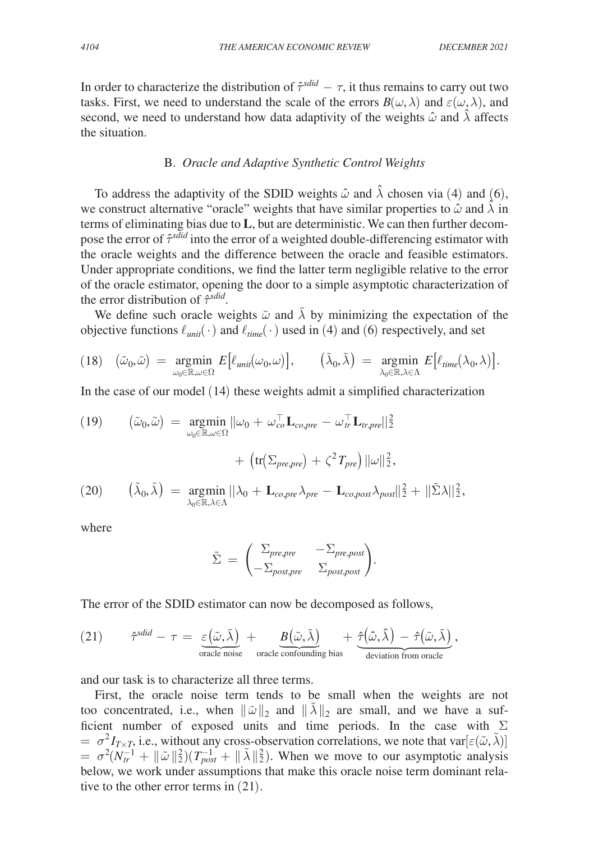In order to characterize the distribution of  $\hat{\tau}^{sdid} - \tau$ , it thus remains to carry out two tasks. First, we need to understand the scale of the errors  $B(\omega, \lambda)$  and  $\varepsilon(\omega, \lambda)$ , and second, we need to understand how data adaptivity of the weights  $\hat{\omega}$  and  $\lambda$  affects the situation.

# B. *Oracle and Adaptive Synthetic Control Weights*

To address the adaptivity of the SDID weights  $\hat{\omega}$  and  $\hat{\lambda}$  chosen via (4) and (6), we construct alternative "oracle" weights that have similar properties to  $\hat{\omega}$  and  $\hat{\lambda}$  in terms of eliminating bias due to **L**, but are deterministic. We can then further decompose the error of  $\hat{\tau}^{s\hat{d}id}$  into the error of a weighted double-differencing estimator with the oracle weights and the difference between the oracle and feasible estimators. Under appropriate conditions, we find the latter term negligible relative to the error of the oracle estimator, opening the door to a simple asymptotic characterization of the error distribution of  $\hat{\tau}^{sdid}$ .

We define such oracle weights  $\tilde{\omega}$  and  $\tilde{\lambda}$  by minimizing the expectation of the objective functions  $\ell_{unit}(\cdot)$  and  $\ell_{time}(\cdot)$  used in (4) and (6) respectively, and set

$$
(18) \quad (\tilde{\omega}_0, \tilde{\omega}) = \underset{\omega_0 \in \mathbb{R}, \omega \in \Omega}{\text{argmin}} E\big[\ell_{\text{unit}}(\omega_0, \omega)\big], \qquad (\tilde{\lambda}_0, \tilde{\lambda}) = \underset{\lambda_0 \in \mathbb{R}, \lambda \in \Lambda}{\text{argmin}} E\big[\ell_{\text{time}}(\lambda_0, \lambda)\big].
$$

In the case of our model (14) these weights admit a simplified characterization

(19) 
$$
(\tilde{\omega}_0, \tilde{\omega}) = \underset{\omega_0 \in \mathbb{R}, \omega \in \Omega}{\operatorname{argmin}} ||\omega_0 + \omega_{co}^{\top} \mathbf{L}_{co,pre} - \omega_{tr}^{\top} \mathbf{L}_{tr,pre}||_2^2 + \left( \operatorname{tr}(\Sigma_{pre,pre}) + \zeta^2 T_{pre} \right) ||\omega||_2^2,
$$
  
(20) 
$$
(\tilde{\lambda}_0, \tilde{\lambda}) = \underset{\lambda_0 \in \mathbb{R}, \lambda \in \Lambda}{\operatorname{argmin}} ||\lambda_0 + \mathbf{L}_{co,pre} \lambda_{pre} - \mathbf{L}_{co,post} \lambda_{post}||_2^2 + ||\tilde{\Sigma}\lambda||_2^2,
$$

where

where  
\n
$$
\tilde{\Sigma} = \begin{pmatrix} \Sigma_{pre, pre} & -\Sigma_{pre, post} \\ -\Sigma_{post, pre} & \Sigma_{post, post} \end{pmatrix}.
$$

The error of the SDID estimator can now be decomposed as follows,

The error of the SDID estimator can now be decomposed as follows,  
\n(21) 
$$
\hat{\tau}^{\text{sdid}} - \tau = \underbrace{\varepsilon(\tilde{\omega}, \tilde{\lambda})}_{\text{oracle noise}} + \underbrace{B(\tilde{\omega}, \tilde{\lambda})}_{\text{oracle confounding bias}} + \underbrace{\hat{\tau}(\hat{\omega}, \hat{\lambda})}_{\text{deviation from oracle}} - \hat{\tau}(\tilde{\omega}, \tilde{\lambda})}_{\text{deviation from oracle}}
$$

and our task is to characterize all three terms.

First, the oracle noise term tends to be small when the weights are not too concentrated, i.e., when  $\|\tilde{\omega}\|_2$  and  $\|\tilde{\lambda}\|_2$  are small, and we have a sufficient number of exposed units and time periods. In the case with  $\Sigma$  $= \sigma^2 I_{T\times T}$ , i.e., without any cross-observation correlations, we note that var $[\epsilon(\tilde{\omega}, \tilde{\lambda})]$  $= \sigma^2 (N_{tr}^{-1} + ||\tilde{\omega}||_2^2)(T_{post}^{-1} + ||\tilde{\lambda}||_2^2)$ . When we move to our asymptotic analysis below, we work under assumptions that make this oracle noise term dominant relative to the other error terms in (21).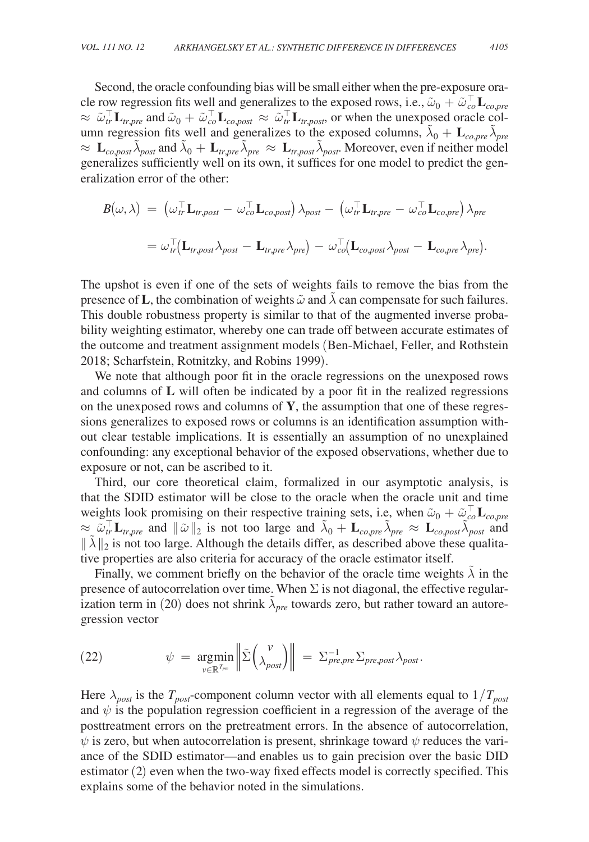Second, the oracle confounding bias will be small either when the pre-exposure oracle row regression fits well and generalizes to the exposed rows, i.e.,  $\tilde{\omega}_0 + \tilde{\omega}_{co,pre}^{\top}$  $\approx \tilde{\omega}_{tr}^{\top} \mathbf{L}_{tr,pre}$  and  $\tilde{\omega}_0 + \tilde{\omega}_{co,post}^{\top} \mathbf{L}_{co,post} \approx \tilde{\omega}_{tr}^{\top} \mathbf{L}_{tr,post}$ , or when the unexposed oracle column regression fits well and generalizes to the exposed columns,  $\tilde{\lambda}_0 + \mathbf{L}_{co,pre} \tilde{\lambda}_{pre}$  $\approx L_{co,post} \tilde{\lambda}_{post}$  and  $\tilde{\lambda}_0 + L_{tr,pre} \tilde{\lambda}_{pre} \approx L_{tr,post} \tilde{\lambda}_{post}$ . Moreover, even if neither model generalizes sufficiently well on its own, it suffices for one model to predict the generalization error of the other:

$$
B(\omega,\lambda) = (\omega_{tr}^{\top} \mathbf{L}_{tr,post} - \omega_{co}^{\top} \mathbf{L}_{co,post}) \lambda_{post} - (\omega_{tr}^{\top} \mathbf{L}_{tr,pre} - \omega_{co}^{\top} \mathbf{L}_{co,pre}) \lambda_{pre}
$$
  
=  $\omega_{tr}^{\top} (\mathbf{L}_{tr,post} \lambda_{post} - \mathbf{L}_{tr,pre} \lambda_{pre}) - \omega_{co}^{\top} (\mathbf{L}_{co,post} \lambda_{post} - \mathbf{L}_{co,pre} \lambda_{pre}).$ 

The upshot is even if one of the sets of weights fails to remove the bias from the presence of **L**, the combination of weights  $\tilde{\omega}$  and  $\tilde{\lambda}$  can compensate for such failures. This double robustness property is similar to that of the augmented inverse probability weighting estimator, whereby one can trade off between accurate estimates of the outcome and treatment assignment models (Ben-Michael, Feller, and Rothstein 2018; Scharfstein, Rotnitzky, and Robins 1999).

We note that although poor fit in the oracle regressions on the unexposed rows and columns of **L** will often be indicated by a poor fit in the realized regressions on the unexposed rows and columns of **Y**, the assumption that one of these regressions generalizes to exposed rows or columns is an identification assumption without clear testable implications. It is essentially an assumption of no unexplained confounding: any exceptional behavior of the exposed observations, whether due to exposure or not, can be ascribed to it.

Third, our core theoretical claim, formalized in our asymptotic analysis, is that the SDID estimator will be close to the oracle when the oracle unit and time weights look promising on their respective training sets, i.e, when  $\tilde{\omega}_0 + \tilde{\omega}_{co,pre}^{\top} L_{co,pre}$  $\approx \tilde{\omega}_{tr}^{\top} \mathbf{L}_{tr,pre}$  and  $\|\tilde{\omega}\|_2$  is not too large and  $\tilde{\lambda}_0 + \mathbf{L}_{co,pre} \tilde{\lambda}_{pre} \approx \mathbf{L}_{co,post} \tilde{\lambda}_{post}$  and  $\|\tilde{\lambda}\|_2$  is not too large. Although the details differ, as described above these qualitative properties are also criteria for accuracy of the oracle estimator itself.

Finally, we comment briefly on the behavior of the oracle time weights  $\lambda$  in the presence of autocorrelation over time. When  $\Sigma$  is not diagonal, the effective regularization term in (20) does not shrink  $\tilde{\lambda}_{pre}$  towards zero, but rather toward an autoregression vector

(22) 
$$
\psi = \underset{\nu \in \mathbb{R}^{T_{pre}}}{\text{argmin}} \left\| \tilde{\Sigma} \left( \lambda_{post}^{\nu} \right) \right\| = \Sigma_{pre,pre}^{-1} \Sigma_{pre,post} \lambda_{post}.
$$

Here  $\lambda_{post}$  is the  $T_{post}$ -component column vector with all elements equal to  $1/T_{post}$ and  $\psi$  is the population regression coefficient in a regression of the average of the posttreatment errors on the pretreatment errors. In the absence of autocorrelation,  $\psi$  is zero, but when autocorrelation is present, shrinkage toward  $\psi$  reduces the variance of the SDID estimator—and enables us to gain precision over the basic DID estimator (2) even when the two-way fixed effects model is correctly specified. This explains some of the behavior noted in the simulations.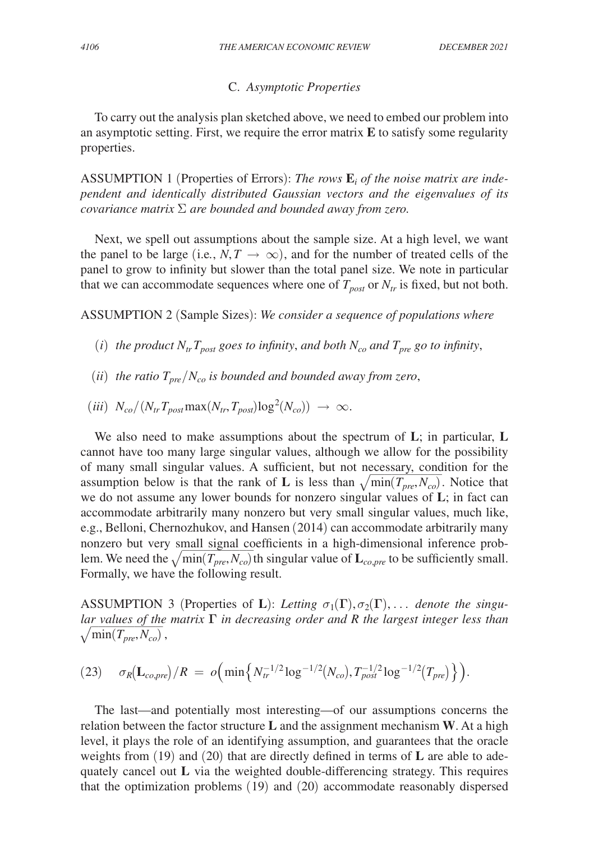# C. *Asymptotic Properties*

To carry out the analysis plan sketched above, we need to embed our problem into an asymptotic setting. First, we require the error matrix **E** to satisfy some regularity properties.

ASSUMPTION 1 (Properties of Errors): The rows  $\mathbf{E}_i$  of the noise matrix are inde*pendent and identically distributed Gaussian vectors and the eigenvalues of its covariance matrix* Σ *are bounded and bounded away from zero.*

Next, we spell out assumptions about the sample size. At a high level, we want the panel to be large (i.e.,  $N, T \rightarrow \infty$ ), and for the number of treated cells of the panel to grow to infinity but slower than the total panel size. We note in particular that we can accommodate sequences where one of  $T_{post}$  or  $N_{tr}$  is fixed, but not both.

ASSUMPTION 2 (Sample Sizes): *We consider a sequence of populations where*

- (*i*) *the product*  $N_{tr}T_{post}$  *goes to infinity, and both*  $N_{co}$  *and*  $T_{pre}$  *go to infinity,*
- (*ii*) *the ratio*  $T_{pre}/N_{co}$  *is bounded and bounded away from zero*,
- $(iii)$   $N_{co}/(N_{tr}T_{post} \max(N_{tr}, T_{post}) \log^2(N_{co})) \rightarrow \infty.$

We also need to make assumptions about the spectrum of **L**; in particular, **L** cannot have too many large singular values, although we allow for the possibility of many small singular values. A sufficient, but not necessary, condition for the assumption below is that the rank of **L** is less than  $\sqrt{\min(T_{pre}, N_{co})}$ . Notice that we do not assume any lower bounds for nonzero singular values of **L**; in fact can accommodate arbitrarily many nonzero but very small singular values, much like, e.g., Belloni, Chernozhukov, and Hansen (2014) can accommodate arbitrarily many nonzero but very small signal coefficients in a high-dimensional inference problem. We need the  $\sqrt{\min(T_{pre}, N_{co})}$  th singular value of  $\mathbf{L}_{co,pre}$  to be sufficiently small. Formally, we have the following result.

ASSUMPTION 3 (Properties of **L**): Letting  $\sigma_1(\Gamma), \sigma_2(\Gamma), \ldots$  denote the singu*lar values of the matrix* **Γ** *in decreasing order and R the largest integer less than*  $\sqrt{1 + (T - T)}$  $\sqrt{\min(T_{pre}, N_{co})}$  ,

(23) 
$$
\sigma_R(L_{co,pre})/R = o\Big(\min\Big\{N_{tr}^{-1/2}\log^{-1/2}(N_{co}), T_{post}^{-1/2}\log^{-1/2}(T_{pre})\Big\}\Big).
$$

The last—and potentially most interesting—of our assumptions concerns the relation between the factor structure **L** and the assignment mechanism **W**. At a high level, it plays the role of an identifying assumption, and guarantees that the oracle weights from (19) and (20) that are directly defined in terms of **L** are able to adequately cancel out **L** via the weighted double-differencing strategy. This requires that the optimization problems (19) and (20) accommodate reasonably dispersed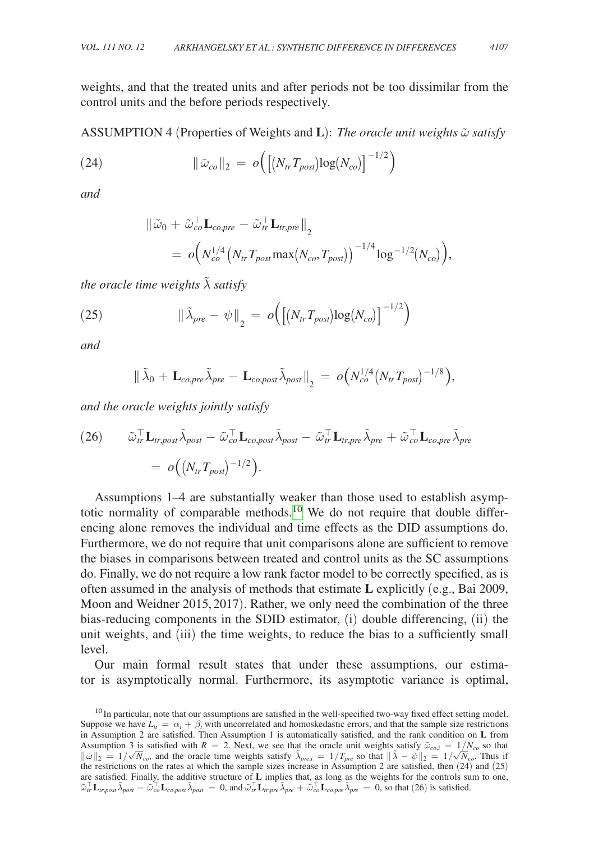weights, and that the treated units and after periods not be too dissimilar from the control units and the before periods respectively.

ASSUMPTION 4 (Properties of Weights and **L**): *The oracle unit weights* ω̃ *satisfy*

(24) 
$$
\|\tilde{\omega}_{co}\|_2 = o\Big(\big[(N_{tr}T_{post})\log(N_{co})\big]^{-1/2}\Big)
$$

*and*

$$
\begin{aligned} \|\tilde{\omega}_0+\tilde{\omega}_{co,pre}^\top \mathbf{L}_{co,pre}-\tilde{\omega}_{tr}^\top \mathbf{L}_{tr,pre}\|_2 \\ = \ o\Big(N_{co}^{1/4}\big(N_{tr}T_{post} \text{max}\big(N_{co},T_{post}\big)\big)^{-1/4}\log^{-1/2}(N_{co})\Big), \end{aligned}
$$

*the oracle time weights* λ̃ *satisfy*

(25) 
$$
\|\tilde{\lambda}_{pre} - \psi\|_2 = o\Big(\big[(N_{tr}T_{post})\log(N_{co})\big]^{-1/2}\Big)
$$

*and*

$$
\|\tilde{\lambda}_0 + \mathbf{L}_{co,pre}\tilde{\lambda}_{pre} - \mathbf{L}_{co,post}\tilde{\lambda}_{post}\|_2 = o(N_{co}^{1/4}(N_{tr}T_{post})^{-1/8}),
$$

*and the oracle weights jointly satisfy*

(26) 
$$
\tilde{\omega}_{tr}^{\top} \mathbf{L}_{tr,post} \tilde{\lambda}_{post} - \tilde{\omega}_{co}^{\top} \mathbf{L}_{co,post} \tilde{\lambda}_{post} - \tilde{\omega}_{tr}^{\top} \mathbf{L}_{tr,pre} \tilde{\lambda}_{pre} + \tilde{\omega}_{co}^{\top} \mathbf{L}_{co,pre} \tilde{\lambda}_{pre}
$$

$$
= o((N_{tr}T_{post})^{-1/2}).
$$

Assumptions 1–4 are substantially weaker than those used to establish asymptotic normality of comparable methods.<sup>10</sup> We do not require that double differencing alone removes the individual and time effects as the DID assumptions do. Furthermore, we do not require that unit comparisons alone are sufficient to remove the biases in comparisons between treated and control units as the SC assumptions do. Finally, we do not require a low rank factor model to be correctly specified, as is often assumed in the analysis of methods that estimate **L** explicitly (e.g., Bai 2009, Moon and Weidner 2015,2017). Rather, we only need the combination of the three bias-reducing components in the SDID estimator, (i) double differencing, (ii) the unit weights, and (iii) the time weights, to reduce the bias to a sufficiently small level.

Our main formal result states that under these assumptions, our estimator is asymptotically normal. Furthermore, its asymptotic variance is optimal,

 $10$  In particular, note that our assumptions are satisfied in the well-specified two-way fixed effect setting model. Suppose we have  $L_{it} = \alpha_i + \beta_t$  with uncorrelated and homoskedastic errors, and that the sample size restrictions in Assumption 2 are satisfied. Then Assumption 1 is automatically satisfied, and the rank condition on **L** from Assumption 3 is satisfied with  $R = 2$ . Next, we see that the oracle unit weights satisfy  $\tilde{\omega}_{co,i} = 1/N_{co}$  so that  $\|\tilde{\lambda} - 1/\sqrt{N_{co}}\|$  and the oracle time unichts satisfy  $\tilde{\lambda}$  $\|\tilde{\omega}\|_2 = 1/\sqrt{\overline{N}}_{co}$ , and the oracle time weights satisfy  $\tilde{\lambda}_{pre,i} = 1/T_{pre}$  so that  $\|\tilde{\lambda} - \psi\|_2 = 1/\sqrt{\overline{N}}_{co}$ . Thus if the restrictions on the rates at which the sample sizes increase in Assumption 2 are satisfied, then  $(24)$  and  $(25)$ are satisfied. Finally, the additive structure of **L** implies that, as long as the weights for the controls sum to one,  $\tilde{\omega}_{tr}^{\top} \mathbf{L}_{tr,post} \tilde{\lambda}_{post} - \tilde{\omega}_{co}^{\top} \mathbf{L}_{co,post} \tilde{\lambda}_{post} = 0$ , and  $\tilde{\omega}_{tr}^{\top} \mathbf{L}_{tr, pre} \tilde{\lambda}_{pre} + \tilde{\omega}_{co}^{\top} \mathbf{L}_{co, pre} \tilde{\lambda}_{pre} = 0$ , so that (26) is satisfied.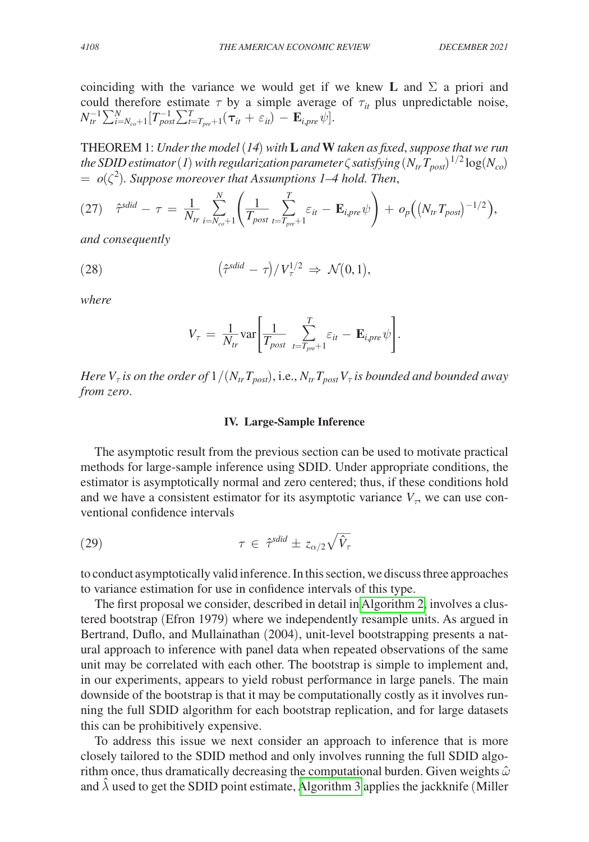coinciding with the variance we would get if we knew **L** and  $\Sigma$  a priori and could therefore estimate  $\tau$  by a simple average of  $\tau_{it}$  plus unpredictable noise,

THEOREM 1: Under the model (14) with **L** and **W** taken as fixed, suppose that we run *the SDID estimator (1) with regularization parameter*  $\zeta$  *satisfying*  $(N_{tr}T_{post})^{1/2}\log(N_{co})$  $= o(\zeta^2)$ . Suppose moreover that Assumptions 1–4 hold. Then,

(27) 
$$
\hat{\tau}^{\text{sdid}} - \tau = \frac{1}{N_{tr}} \sum_{i=N_{co}+1}^{N} \left( \frac{1}{T_{post}} \sum_{t=T_{pre}+1}^{T} \varepsilon_{it} - \mathbf{E}_{i,pre} \psi \right) + o_{p} \Big( \big( N_{tr} T_{post} \big)^{-1/2} \Big),
$$

*and consequently*

(28) 
$$
\left(\hat{\tau}^{\text{sdid}} - \tau\right) / V_{\tau}^{1/2} \Rightarrow \mathcal{N}(0, 1),
$$

 $N_{tr}^{-1} \sum_{i=N_{co}+1}^{N} [T_{post}^{-1} \sum_{t=T_{pre}+1}^{T} (\tau_{it} + \varepsilon_{it}) - \mathbf{E}_{i, pre} \psi].$ 

*where*

$$
V_{\tau} = \frac{1}{N_{tr}} \text{var} \left[ \frac{1}{T_{post}} \sum_{t=T_{pre}+1}^{T} \varepsilon_{it} - \mathbf{E}_{i, pre} \psi \right].
$$

*Here*  $V_{\tau}$  *is on the order of*  $1/(N_{tr}T_{post})$ , *i.e.*,  $N_{tr}T_{post}V_{\tau}$  *is bounded and bounded away from zero*.

# **IV. Large-Sample Inference**

The asymptotic result from the previous section can be used to motivate practical methods for large-sample inference using SDID. Under appropriate conditions, the estimator is asymptotically normal and zero centered; thus, if these conditions hold and we have a consistent estimator for its asymptotic variance  $V<sub>T</sub>$ , we can use conventional confidence intervals

(29) 
$$
\tau \in \hat{\tau}^{\text{sdid}} \pm z_{\alpha/2} \sqrt{\hat{V}_{\tau}}
$$

to conduct asymptotically valid inference. In this section, we discuss three approaches to variance estimation for use in confidence intervals of this type.

The first proposal we consider, described in detail in [Algorithm 2,](#page-21-0) involves a clustered bootstrap (Efron 1979) where we independently resample units. As argued in Bertrand, Duflo, and Mullainathan (2004), unit-level bootstrapping presents a natural approach to inference with panel data when repeated observations of the same unit may be correlated with each other. The bootstrap is simple to implement and, in our experiments, appears to yield robust performance in large panels. The main downside of the bootstrap is that it may be computationally costly as it involves running the full SDID algorithm for each bootstrap replication, and for large datasets this can be prohibitively expensive.

To address this issue we next consider an approach to inference that is more closely tailored to the SDID method and only involves running the full SDID algorithm once, thus dramatically decreasing the computational burden. Given weights  $\hat{\omega}$ and  $\lambda$  used to get the SDID point estimate, [Algorithm 3](#page-21-0) applies the jackknife (Miller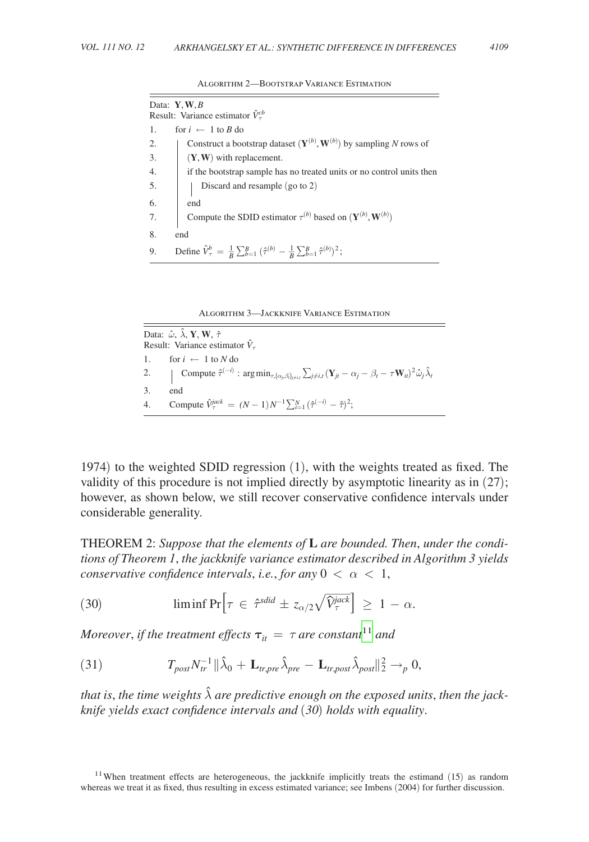<span id="page-21-0"></span>

| Data: $Y, W, B$             |                                                                                                                               |
|-----------------------------|-------------------------------------------------------------------------------------------------------------------------------|
|                             | Result: Variance estimator $\hat{V}_{\tau}^{cb}$                                                                              |
| 1.                          | for $i \leftarrow 1$ to B do                                                                                                  |
| 2.                          | Construct a bootstrap dataset $(\mathbf{Y}^{(b)}, \mathbf{W}^{(b)})$ by sampling N rows of                                    |
|                             | $(Y, W)$ with replacement.                                                                                                    |
| $\frac{2}{3}$ .<br>4.<br>5. | if the bootstrap sample has no treated units or no control units then                                                         |
|                             | Discard and resample (go to 2)                                                                                                |
| 6.7.                        | end                                                                                                                           |
|                             | Compute the SDID estimator $\tau^{(b)}$ based on $(\mathbf{Y}^{(b)}, \mathbf{W}^{(b)})$                                       |
| 8.                          | end                                                                                                                           |
| 9.                          | Define $\hat{V}_{\tau}^{b} = \frac{1}{B} \sum_{b=1}^{B} (\hat{\tau}^{(b)} - \frac{1}{B} \sum_{b=1}^{B} \hat{\tau}^{(b)})^2$ ; |

Algorithm 2—Bootstrap Variance Estimation

Algorithm 3—Jackknife Variance Estimation

Data:  $\hat{\omega}$ ,  $\hat{\lambda}$ , **Y**, **W**,  $\hat{\tau}$ Result: Variance estimator  $\hat{V}_\tau$ 1. for  $i \leftarrow 1$  to *N* do 2. Compute  $\hat{\tau}^{(-i)}$  :  $\arg \min_{\tau, \{\alpha_j, \beta_i\}_{j \neq i,j}} \sum_{j \neq i,t} (\mathbf{Y}_{jt} - \alpha_j - \beta_t - \tau \mathbf{W}_{it})^2 \hat{\omega}_j \hat{\lambda}_t$ 3. end 4. Compute  $\hat{V}_{\tau}^{jack} = (N-1)N^{-1}\sum_{i=1}^{N}(\hat{\tau}^{(-i)} - \hat{\tau})^2;$ 

1974) to the weighted SDID regression (1), with the weights treated as fixed. The validity of this procedure is not implied directly by asymptotic linearity as in (27); however, as shown below, we still recover conservative confidence intervals under considerable generality.

THEOREM 2: *Suppose that the elements of are bounded. Then*, *under the conditions of Theorem 1*, *the jackknife variance estimator described in Algorithm 3 yields conservative confidence intervals, i.e., for any*  $0 < \alpha < 1$ ,

(30) 
$$
\liminf \Pr \Big[ \tau \in \hat{\tau}^{\text{sdid}} \pm z_{\alpha/2} \sqrt{\hat{V}_{\tau}^{\text{jack}}} \Big] \geq 1 - \alpha.
$$

*Moreover, if the treatment effects*  $\tau_{it} = \tau$  *are constant*<sup>11</sup> *and* 

(31) 
$$
T_{post}N_{tr}^{-1} \|\hat{\lambda}_0 + \mathbf{L}_{tr,pre}\hat{\lambda}_{pre} - \mathbf{L}_{tr,post}\hat{\lambda}_{post}\|_2^2 \to_p 0,
$$

*that is, the time weights*  $\hat{\lambda}$  *are predictive enough on the exposed units, then the jackknife yields exact confidence intervals and* (*30*) *holds with equality*.

<sup>&</sup>lt;sup>11</sup> When treatment effects are heterogeneous, the jackknife implicitly treats the estimand (15) as random whereas we treat it as fixed, thus resulting in excess estimated variance; see Imbens (2004) for further discussion.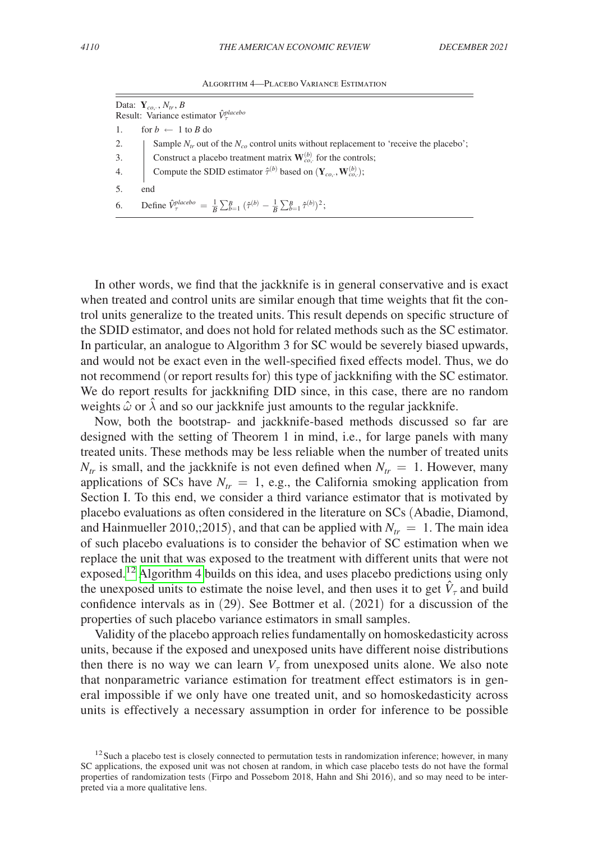| ALGORITHM 4-PLACEBO VARIANCE ESTIMATION |  |  |
|-----------------------------------------|--|--|
|-----------------------------------------|--|--|

|    | Data: $\mathbf{Y}_{co,\cdot}, N_{tr}, B$<br>Result: Variance estimator $\hat{V}_{\tau}^{placebo}$                                                                                                                                                         |
|----|-----------------------------------------------------------------------------------------------------------------------------------------------------------------------------------------------------------------------------------------------------------|
|    | 1. for $b \leftarrow 1$ to B do                                                                                                                                                                                                                           |
|    |                                                                                                                                                                                                                                                           |
|    |                                                                                                                                                                                                                                                           |
|    | 2. Sample $N_{tr}$ out of the $N_{co}$ control units without replacement to 'receive the placebo';<br>3. Construct a placebo treatment matrix $\mathbf{W}_{co}^{(b)}$ for the controls;<br>4. Compute the SDID estimator $\hat{\tau}^{(b)}$ based on $(\$ |
| 5. | end                                                                                                                                                                                                                                                       |
|    | 6. Define $\hat{V}_{\tau}^{placebo} = \frac{1}{B} \sum_{b=1}^{B} (\hat{\tau}^{(b)} - \frac{1}{B} \sum_{b=1}^{B} \hat{\tau}^{(b)})^2$ ;                                                                                                                    |

In other words, we find that the jackknife is in general conservative and is exact when treated and control units are similar enough that time weights that fit the control units generalize to the treated units. This result depends on specific structure of the SDID estimator, and does not hold for related methods such as the SC estimator. In particular, an analogue to Algorithm 3 for SC would be severely biased upwards, and would not be exact even in the well-specified fixed effects model. Thus, we do not recommend (or report results for) this type of jackknifing with the SC estimator. We do report results for jackknifing DID since, in this case, there are no random weights  $\hat{\omega}$  or  $\lambda$  and so our jackknife just amounts to the regular jackknife.

Now, both the bootstrap- and jackknife-based methods discussed so far are designed with the setting of Theorem 1 in mind, i.e., for large panels with many treated units. These methods may be less reliable when the number of treated units  $N_{tr}$  is small, and the jackknife is not even defined when  $N_{tr} = 1$ . However, many applications of SCs have  $N<sub>tr</sub> = 1$ , e.g., the California smoking application from Section I. To this end, we consider a third variance estimator that is motivated by placebo evaluations as often considered in the literature on SCs (Abadie, Diamond, and Hainmueller 2010,;2015), and that can be applied with  $N_{tr} = 1$ . The main idea of such placebo evaluations is to consider the behavior of SC estimation when we replace the unit that was exposed to the treatment with different units that were not exposed.<sup>12</sup> Algorithm 4 builds on this idea, and uses placebo predictions using only the unexposed units to estimate the noise level, and then uses it to get  $\hat{V}_{\tau}$  and build confidence intervals as in (29). See Bottmer et al. (2021) for a discussion of the properties of such placebo variance estimators in small samples.

Validity of the placebo approach relies fundamentally on homoskedasticity across units, because if the exposed and unexposed units have different noise distributions then there is no way we can learn  $V<sub>\tau</sub>$  from unexposed units alone. We also note that nonparametric variance estimation for treatment effect estimators is in general impossible if we only have one treated unit, and so homoskedasticity across units is effectively a necessary assumption in order for inference to be possible

 $12$  Such a placebo test is closely connected to permutation tests in randomization inference; however, in many SC applications, the exposed unit was not chosen at random, in which case placebo tests do not have the formal properties of randomization tests (Firpo and Possebom 2018, Hahn and Shi 2016), and so may need to be interpreted via a more qualitative lens.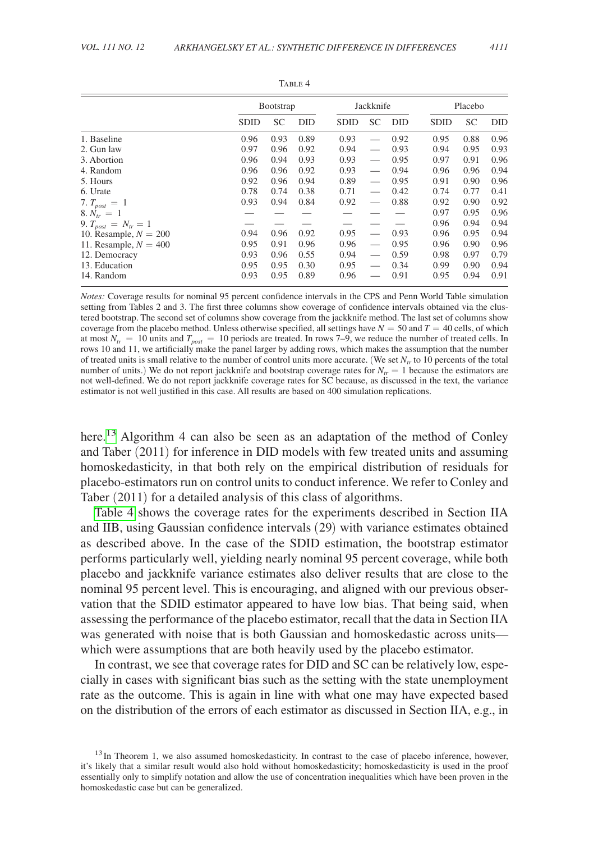|                            | <b>Bootstrap</b> |           |            | Jackknife   |                          |            |             | Placebo   |            |  |
|----------------------------|------------------|-----------|------------|-------------|--------------------------|------------|-------------|-----------|------------|--|
|                            | SDID             | <b>SC</b> | <b>DID</b> | <b>SDID</b> | <b>SC</b>                | <b>DID</b> | <b>SDID</b> | <b>SC</b> | <b>DID</b> |  |
| 1. Baseline                | 0.96             | 0.93      | 0.89       | 0.93        |                          | 0.92       | 0.95        | 0.88      | 0.96       |  |
| 2. Gun law                 | 0.97             | 0.96      | 0.92       | 0.94        |                          | 0.93       | 0.94        | 0.95      | 0.93       |  |
| 3. Abortion                | 0.96             | 0.94      | 0.93       | 0.93        |                          | 0.95       | 0.97        | 0.91      | 0.96       |  |
| 4. Random                  | 0.96             | 0.96      | 0.92       | 0.93        | $\overline{\phantom{0}}$ | 0.94       | 0.96        | 0.96      | 0.94       |  |
| 5. Hours                   | 0.92             | 0.96      | 0.94       | 0.89        |                          | 0.95       | 0.91        | 0.90      | 0.96       |  |
| 6. Urate                   | 0.78             | 0.74      | 0.38       | 0.71        |                          | 0.42       | 0.74        | 0.77      | 0.41       |  |
| 7. $T_{post} = 1$          | 0.93             | 0.94      | 0.84       | 0.92        |                          | 0.88       | 0.92        | 0.90      | 0.92       |  |
| $8. N_{tr} = 1$            |                  |           |            |             |                          |            | 0.97        | 0.95      | 0.96       |  |
| 9. $T_{post} = N_{tr} = 1$ |                  |           |            |             |                          |            | 0.96        | 0.94      | 0.94       |  |
| 10. Resample, $N = 200$    | 0.94             | 0.96      | 0.92       | 0.95        | $\overline{\phantom{0}}$ | 0.93       | 0.96        | 0.95      | 0.94       |  |
| 11. Resample, $N = 400$    | 0.95             | 0.91      | 0.96       | 0.96        |                          | 0.95       | 0.96        | 0.90      | 0.96       |  |
| 12. Democracy              | 0.93             | 0.96      | 0.55       | 0.94        |                          | 0.59       | 0.98        | 0.97      | 0.79       |  |
| 13. Education              | 0.95             | 0.95      | 0.30       | 0.95        |                          | 0.34       | 0.99        | 0.90      | 0.94       |  |
| 14. Random                 | 0.93             | 0.95      | 0.89       | 0.96        |                          | 0.91       | 0.95        | 0.94      | 0.91       |  |

TABLE 4

*Notes:* Coverage results for nominal 95 percent confidence intervals in the CPS and Penn World Table simulation setting from Tables 2 and 3. The first three columns show coverage of confidence intervals obtained via the clustered bootstrap. The second set of columns show coverage from the jackknife method. The last set of columns show coverage from the placebo method. Unless otherwise specified, all settings have  $N = 50$  and  $T = 40$  cells, of which at most  $N_{tr} = 10$  units and  $T_{post} = 10$  periods are treated. In rows 7–9, we reduce the number of treated cells. In rows 10 and 11, we artificially make the panel larger by adding rows, which makes the assumption that the number of treated units is small relative to the number of control units more accurate. (We set  $N<sub>tr</sub>$  to 10 percents of the total number of units.) We do not report jackknife and bootstrap coverage rates for  $N_{tr} = 1$  because the estimators are not well-defined. We do not report jackknife coverage rates for SC because, as discussed in the text, the variance estimator is not well justified in this case. All results are based on 400 simulation replications.

here.<sup>13</sup> Algorithm 4 can also be seen as an adaptation of the method of Conley and Taber (2011) for inference in DID models with few treated units and assuming homoskedasticity, in that both rely on the empirical distribution of residuals for placebo-estimators run on control units to conduct inference. We refer to Conley and Taber (2011) for a detailed analysis of this class of algorithms.

Table 4 shows the coverage rates for the experiments described in Section IIA and IIB, using Gaussian confidence intervals (29) with variance estimates obtained as described above. In the case of the SDID estimation, the bootstrap estimator performs particularly well, yielding nearly nominal 95 percent coverage, while both placebo and jackknife variance estimates also deliver results that are close to the nominal 95 percent level. This is encouraging, and aligned with our previous observation that the SDID estimator appeared to have low bias. That being said, when assessing the performance of the placebo estimator, recall that the data in Section IIA was generated with noise that is both Gaussian and homoskedastic across units which were assumptions that are both heavily used by the placebo estimator.

In contrast, we see that coverage rates for DID and SC can be relatively low, especially in cases with significant bias such as the setting with the state unemployment rate as the outcome. This is again in line with what one may have expected based on the distribution of the errors of each estimator as discussed in Section IIA, e.g., in

<sup>&</sup>lt;sup>13</sup>In Theorem 1, we also assumed homoskedasticity. In contrast to the case of placebo inference, however, it's likely that a similar result would also hold without homoskedasticity; homoskedasticity is used in the proof essentially only to simplify notation and allow the use of concentration inequalities which have been proven in the homoskedastic case but can be generalized.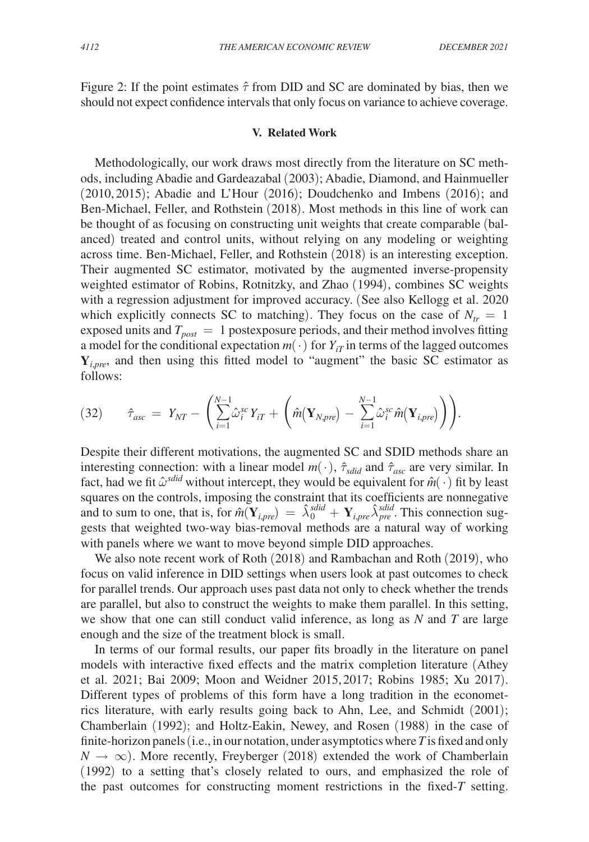Figure 2: If the point estimates  $\hat{\tau}$  from DID and SC are dominated by bias, then we should not expect confidence intervals that only focus on variance to achieve coverage.

#### **V. Related Work**

Methodologically, our work draws most directly from the literature on SC methods, including Abadie and Gardeazabal (2003); Abadie, Diamond, and Hainmueller (2010, 2015); Abadie and L'Hour (2016); Doudchenko and Imbens (2016); and Ben-Michael, Feller, and Rothstein (2018). Most methods in this line of work can be thought of as focusing on constructing unit weights that create comparable (balanced) treated and control units, without relying on any modeling or weighting across time. Ben-Michael, Feller, and Rothstein (2018) is an interesting exception. Their augmented SC estimator, motivated by the augmented inverse-propensity weighted estimator of Robins, Rotnitzky, and Zhao (1994), combines SC weights with a regression adjustment for improved accuracy. (See also Kellogg et al. 2020 which explicitly connects SC to matching). They focus on the case of  $N_{tr} = 1$ exposed units and  $T_{post} = 1$  postexposure periods, and their method involves fitting a model for the conditional expectation  $m(\cdot)$  for  $Y_{iT}$  in terms of the lagged outcomes **Y***i*,*pre*, and then using this fitted model to "augment" the basic SC estimator as follows:

$$
(32) \qquad \hat{\tau}_{asc} = Y_{NT} - \left( \sum_{i=1}^{N-1} \hat{\omega}_i^{sc} Y_{iT} + \left( \hat{m}(\mathbf{Y}_{N,pre}) - \sum_{i=1}^{N-1} \hat{\omega}_i^{sc} \hat{m}(\mathbf{Y}_{i,pre}) \right) \right).
$$

Despite their different motivations, the augmented SC and SDID methods share an interesting connection: with a linear model  $m(\cdot)$ ,  $\hat{\tau}_{\text{std}}$  and  $\hat{\tau}_{\text{asc}}$  are very similar. In fact, had we fit  $\hat{\omega}^{sdid}$  without intercept, they would be equivalent for  $\hat{m}(\cdot)$  fit by least squares on the controls, imposing the constraint that its coefficients are nonnegative and to sum to one, that is, for  $\hat{m}(\mathbf{Y}_{i,pre}) = \hat{\lambda}_0^{sdid} + \mathbf{Y}_{i,pre} \hat{\lambda}_p^{sdid}$ . This connection suggests that weighted two-way bias-removal methods are a natural way of working with panels where we want to move beyond simple DID approaches.

We also note recent work of Roth (2018) and Rambachan and Roth (2019), who focus on valid inference in DID settings when users look at past outcomes to check for parallel trends. Our approach uses past data not only to check whether the trends are parallel, but also to construct the weights to make them parallel. In this setting, we show that one can still conduct valid inference, as long as *N* and *T* are large enough and the size of the treatment block is small.

In terms of our formal results, our paper fits broadly in the literature on panel models with interactive fixed effects and the matrix completion literature (Athey et al. 2021; Bai 2009; Moon and Weidner 2015,2017; Robins 1985; Xu 2017). Different types of problems of this form have a long tradition in the econometrics literature, with early results going back to Ahn, Lee, and Schmidt (2001); Chamberlain (1992); and Holtz-Eakin, Newey, and Rosen (1988) in the case of finite-horizon panels (i.e., in our notation, under asymptotics where *T* is fixed and only  $N \to \infty$ ). More recently, Freyberger (2018) extended the work of Chamberlain (1992) to a setting that's closely related to ours, and emphasized the role of the past outcomes for constructing moment restrictions in the fixed-*T* setting.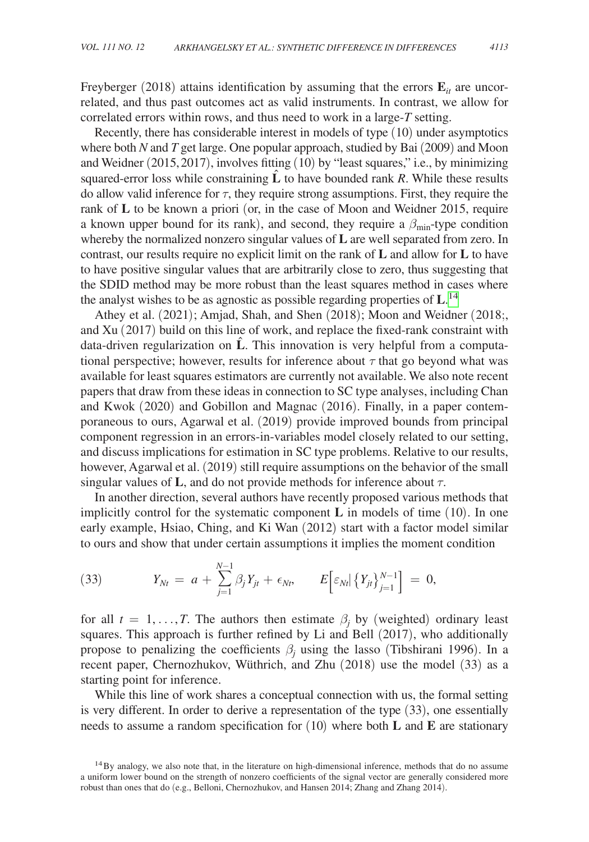Freyberger (2018) attains identification by assuming that the errors  $\mathbf{E}_{it}$  are uncorrelated, and thus past outcomes act as valid instruments. In contrast, we allow for correlated errors within rows, and thus need to work in a large-*T* setting.

Recently, there has considerable interest in models of type (10) under asymptotics where both *N* and *T* get large. One popular approach, studied by Bai (2009) and Moon and Weidner (2015,2017), involves fitting (10) by "least squares," i.e., by minimizing squared-error loss while constraining  $\hat{L}$  to have bounded rank *R*. While these results do allow valid inference for  $\tau$ , they require strong assumptions. First, they require the rank of **L** to be known a priori (or, in the case of Moon and Weidner 2015, require a known upper bound for its rank), and second, they require a  $\beta_{\text{min}}$ -type condition whereby the normalized nonzero singular values of **L** are well separated from zero. In contrast, our results require no explicit limit on the rank of **L** and allow for **L** to have to have positive singular values that are arbitrarily close to zero, thus suggesting that the SDID method may be more robust than the least squares method in cases where the analyst wishes to be as agnostic as possible regarding properties of **L**. 14

Athey et al. (2021); Amjad, Shah, and Shen (2018); Moon and Weidner (2018;, and Xu (2017) build on this line of work, and replace the fixed-rank constraint with data-driven regularization on  $\hat{L}$ . This innovation is very helpful from a computational perspective; however, results for inference about  $\tau$  that go beyond what was available for least squares estimators are currently not available. We also note recent papers that draw from these ideas in connection to SC type analyses, including Chan and Kwok (2020) and Gobillon and Magnac (2016). Finally, in a paper contemporaneous to ours, Agarwal et al. (2019) provide improved bounds from principal component regression in an errors-in-variables model closely related to our setting, and discuss implications for estimation in SC type problems. Relative to our results, however, Agarwal et al. (2019) still require assumptions on the behavior of the small singular values of  $\bf{L}$ , and do not provide methods for inference about  $\tau$ .

In another direction, several authors have recently proposed various methods that implicitly control for the systematic component **L** in models of time (10). In one early example, Hsiao, Ching, and Ki Wan (2012) start with a factor model similar to ours and show that under certain assumptions it implies the moment condition

(33) 
$$
Y_{Nt} = a + \sum_{j=1}^{N-1} \beta_j Y_{jt} + \epsilon_{Nt}, \qquad E\Big[\epsilon_{Nt} | \{Y_{jt}\}_{j=1}^{N-1}\Big] = 0,
$$

for all  $t = 1, ..., T$ . The authors then estimate  $\beta_j$  by (weighted) ordinary least squares. This approach is further refined by Li and Bell (2017), who additionally propose to penalizing the coefficients  $\beta_j$  using the lasso (Tibshirani 1996). In a recent paper, Chernozhukov, Wüthrich, and Zhu (2018) use the model (33) as a starting point for inference.

While this line of work shares a conceptual connection with us, the formal setting is very different. In order to derive a representation of the type (33), one essentially needs to assume a random specification for (10) where both **L** and **E** are stationary

<sup>&</sup>lt;sup>14</sup>By analogy, we also note that, in the literature on high-dimensional inference, methods that do no assume a uniform lower bound on the strength of nonzero coefficients of the signal vector are generally considered more robust than ones that do (e.g., Belloni, Chernozhukov, and Hansen 2014; Zhang and Zhang 2014).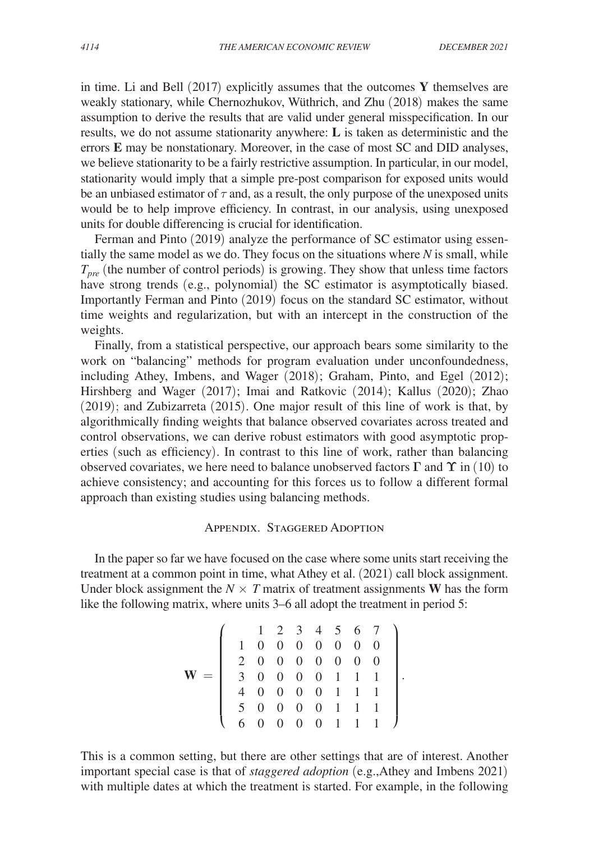in time. Li and Bell (2017) explicitly assumes that the outcomes **Y** themselves are weakly stationary, while Chernozhukov, Wüthrich, and Zhu (2018) makes the same assumption to derive the results that are valid under general misspecification. In our results, we do not assume stationarity anywhere: **L** is taken as deterministic and the errors **E** may be nonstationary. Moreover, in the case of most SC and DID analyses, we believe stationarity to be a fairly restrictive assumption. In particular, in our model, stationarity would imply that a simple pre-post comparison for exposed units would be an unbiased estimator of  $\tau$  and, as a result, the only purpose of the unexposed units would be to help improve efficiency. In contrast, in our analysis, using unexposed units for double differencing is crucial for identification.

Ferman and Pinto (2019) analyze the performance of SC estimator using essentially the same model as we do. They focus on the situations where *N* is small, while *Tpre* (the number of control periods) is growing. They show that unless time factors have strong trends (e.g., polynomial) the SC estimator is asymptotically biased. Importantly Ferman and Pinto (2019) focus on the standard SC estimator, without time weights and regularization, but with an intercept in the construction of the weights.

Finally, from a statistical perspective, our approach bears some similarity to the work on "balancing" methods for program evaluation under unconfoundedness, including Athey, Imbens, and Wager (2018); Graham, Pinto, and Egel (2012); Hirshberg and Wager (2017); Imai and Ratkovic (2014); Kallus (2020); Zhao (2019); and Zubizarreta (2015). One major result of this line of work is that, by algorithmically finding weights that balance observed covariates across treated and control observations, we can derive robust estimators with good asymptotic properties (such as efficiency). In contrast to this line of work, rather than balancing observed covariates, we here need to balance unobserved factors **Γ** and **ϒ** in (10) to achieve consistency; and accounting for this forces us to follow a different formal approach than existing studies using balancing methods.

# Appendix. Staggered Adoption

In the paper so far we have focused on the case where some units start receiving the treatment at a common point in time, what Athey et al. (2021) call block assignment. Under block assignment the  $N \times T$  matrix of treatment assignments **W** has the form like the following matrix, where units 3–6 all adopt the treatment in period 5:

$$
\mathbf{W} = \left(\begin{array}{cccccc} 1 & 2 & 3 & 4 & 5 & 6 & 7 \\ 1 & 0 & 0 & 0 & 0 & 0 & 0 & 0 \\ 2 & 0 & 0 & 0 & 0 & 0 & 0 & 0 \\ 3 & 0 & 0 & 0 & 0 & 1 & 1 & 1 \\ 4 & 0 & 0 & 0 & 0 & 1 & 1 & 1 \\ 5 & 0 & 0 & 0 & 0 & 1 & 1 & 1 \\ 6 & 0 & 0 & 0 & 0 & 1 & 1 & 1 \end{array}\right).
$$

This is a common setting, but there are other settings that are of interest. Another important special case is that of *staggered adoption* (e.g.,Athey and Imbens 2021) with multiple dates at which the treatment is started. For example, in the following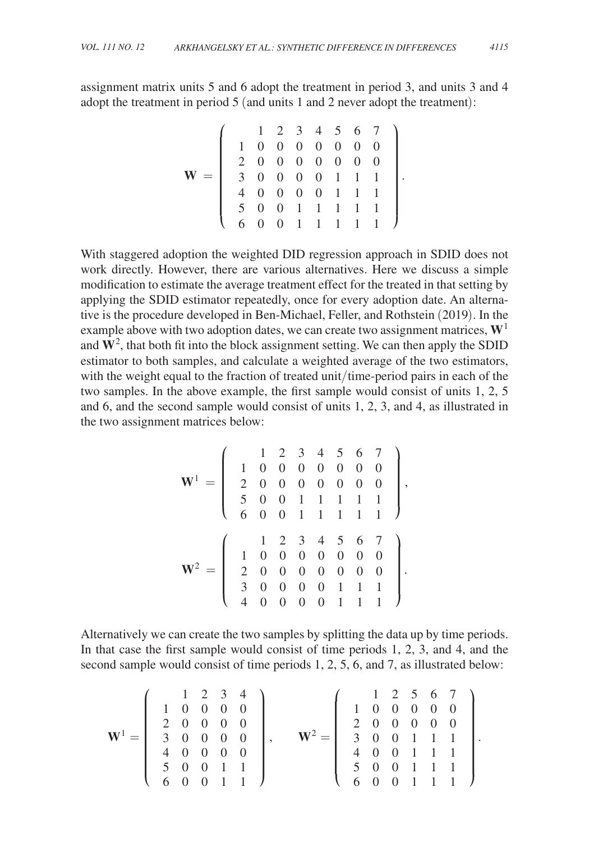assignment matrix units 5 and 6 adopt the treatment in period 3, and units 3 and 4 adopt the treatment in period 5 (and units 1 and 2 never adopt the treatment):

$$
\mathbf{W} = \left(\begin{array}{cccccc} 1 & 2 & 3 & 4 & 5 & 6 & 7 \\ 1 & 0 & 0 & 0 & 0 & 0 & 0 & 0 \\ 2 & 0 & 0 & 0 & 0 & 0 & 0 & 0 \\ 3 & 0 & 0 & 0 & 0 & 1 & 1 & 1 \\ 4 & 0 & 0 & 0 & 0 & 1 & 1 & 1 \\ 5 & 0 & 0 & 1 & 1 & 1 & 1 & 1 \\ 6 & 0 & 0 & 1 & 1 & 1 & 1 & 1 \end{array}\right).
$$

.

.

With staggered adoption the weighted DID regression approach in SDID does not work directly. However, there are various alternatives. Here we discuss a simple modification to estimate the average treatment effect for the treated in that setting by applying the SDID estimator repeatedly, once for every adoption date. An alternative is the procedure developed in Ben-Michael, Feller, and Rothstein (2019). In the example above with two adoption dates, we can create two assignment matrices, **W**<sup>1</sup> and  $\mathbf{W}^2$ , that both fit into the block assignment setting. We can then apply the SDID estimator to both samples, and calculate a weighted average of the two estimators, with the weight equal to the fraction of treated unit/time-period pairs in each of the two samples. In the above example, the first sample would consist of units 1, 2, 5 and 6, and the second sample would consist of units 1, 2, 3, and 4, as illustrated in the two assignment matrices below:

$$
\mathbf{W}^{1} = \left( \begin{array}{cccccc} 1 & 2 & 3 & 4 & 5 & 6 & 7 \\ 1 & 0 & 0 & 0 & 0 & 0 & 0 & 0 \\ 2 & 0 & 0 & 0 & 0 & 0 & 0 & 0 \\ 5 & 0 & 0 & 1 & 1 & 1 & 1 & 1 \\ 6 & 0 & 0 & 1 & 1 & 1 & 1 & 1 \end{array} \right),
$$

$$
\mathbf{W}^{2} = \left( \begin{array}{cccccc} 1 & 2 & 3 & 4 & 5 & 6 & 7 \\ 1 & 0 & 0 & 0 & 0 & 0 & 0 & 0 \\ 2 & 0 & 0 & 0 & 0 & 0 & 0 & 0 \\ 3 & 0 & 0 & 0 & 0 & 1 & 1 & 1 \\ 4 & 0 & 0 & 0 & 0 & 1 & 1 & 1 \end{array} \right).
$$

Alternatively we can create the two samples by splitting the data up by time periods. In that case the first sample would consist of time periods 1, 2, 3, and 4, and the second sample would consist of time periods 1, 2, 5, 6, and 7, as illustrated below:

$$
\mathbf{W}^{1} = \left(\begin{array}{cccc} 1 & 2 & 3 & 4 \\ 1 & 0 & 0 & 0 & 0 \\ 2 & 0 & 0 & 0 & 0 \\ 3 & 0 & 0 & 0 & 0 \\ 4 & 0 & 0 & 0 & 0 \\ 5 & 0 & 0 & 1 & 1 \\ 6 & 0 & 0 & 1 & 1 \end{array}\right), \qquad \mathbf{W}^{2} = \left(\begin{array}{cccc} 1 & 2 & 5 & 6 & 7 \\ 1 & 0 & 0 & 0 & 0 & 0 \\ 2 & 0 & 0 & 0 & 0 & 0 \\ 3 & 0 & 0 & 1 & 1 & 1 \\ 4 & 0 & 0 & 1 & 1 & 1 \\ 5 & 0 & 0 & 1 & 1 & 1 \end{array}\right).
$$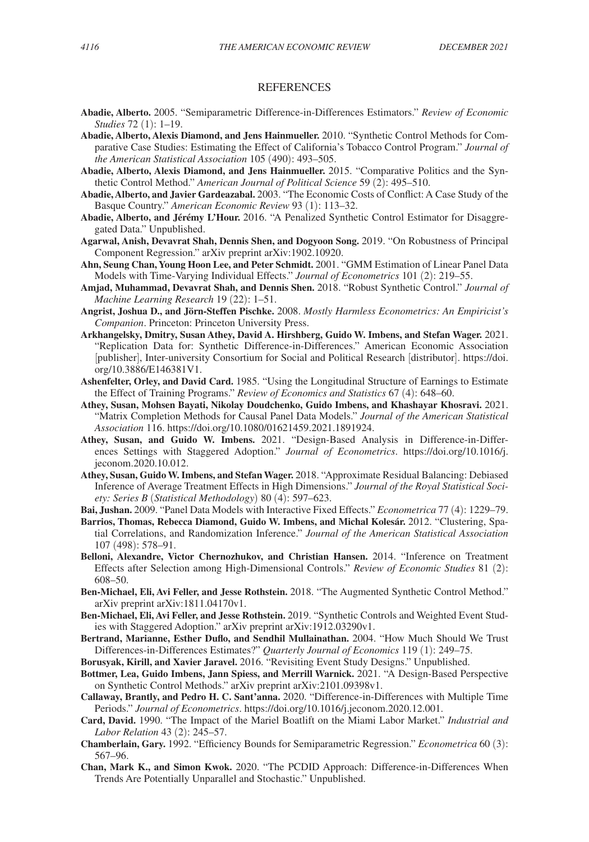#### REFERENCES

- **Abadie, Alberto.** 2005. "Semiparametric Difference-in-Differences Estimators." *Review of Economic Studies* 72 (1): 1–19.
- **Abadie, Alberto, Alexis Diamond, and Jens Hainmueller.** 2010. "Synthetic Control Methods for Comparative Case Studies: Estimating the Effect of California's Tobacco Control Program." *Journal of the American Statistical Association* 105 (490): 493–505.
- **Abadie, Alberto, Alexis Diamond, and Jens Hainmueller.** 2015. "Comparative Politics and the Synthetic Control Method." *American Journal of Political Science* 59 (2): 495–510.
- **Abadie, Alberto, and Javier Gardeazabal.** 2003. "The Economic Costs of Conflict: A Case Study of the Basque Country." *American Economic Review* 93 (1): 113–32.
- **Abadie, Alberto, and Jérémy L'Hour.** 2016. "A Penalized Synthetic Control Estimator for Disaggregated Data." Unpublished.
- **Agarwal, Anish, Devavrat Shah, Dennis Shen, and Dogyoon Song.** 2019. "On Robustness of Principal Component Regression." arXiv preprint arXiv:1902.10920.
- **Ahn, Seung Chan, Young Hoon Lee, and Peter Schmidt.** 2001. "GMM Estimation of Linear Panel Data Models with Time-Varying Individual Effects." *Journal of Econometrics* 101 (2): 219–55.
- **Amjad, Muhammad, Devavrat Shah, and Dennis Shen.** 2018. "Robust Synthetic Control." *Journal of Machine Learning Research* 19 (22): 1–51.
- **Angrist, Joshua D., and Jörn-Steffen Pischke.** 2008. *Mostly Harmless Econometrics: An Empiricist's Companion*. Princeton: Princeton University Press.
- **Arkhangelsky, Dmitry, Susan Athey, David A. Hirshberg, Guido W. Imbens, and Stefan Wager.** 2021. "Replication Data for: Synthetic Difference-in-Differences." American Economic Association [publisher], Inter-university Consortium for Social and Political Research [distributor]. [https://doi.](https://doi.org/10.3886/E146381V1) [org/10.3886/E146381V1.](https://doi.org/10.3886/E146381V1)
- **Ashenfelter, Orley, and David Card.** 1985. "Using the Longitudinal Structure of Earnings to Estimate the Effect of Training Programs." *Review of Economics and Statistics* 67 (4): 648–60.
- **Athey, Susan, Mohsen Bayati, Nikolay Doudchenko, Guido Imbens, and Khashayar Khosravi.** 2021. "Matrix Completion Methods for Causal Panel Data Models." *Journal of the American Statistical Association* 116.<https://doi.org/10.1080/01621459.2021.1891924>.
- **Athey, Susan, and Guido W. Imbens.** 2021. "Design-Based Analysis in Difference-in-Differences Settings with Staggered Adoption." *Journal of Econometrics*. [https://doi.org/10.1016/j.](https://doi.org/10.1016/j.jeconom.2020.10.012) [jeconom.2020.10.012](https://doi.org/10.1016/j.jeconom.2020.10.012).
- **Athey, Susan, Guido W. Imbens, and Stefan Wager.** 2018. "Approximate Residual Balancing: Debiased Inference of Average Treatment Effects in High Dimensions." *Journal of the Royal Statistical Society: Series B* (*Statistical Methodology*) 80 (4): 597–623.
- **Bai, Jushan.** 2009. "Panel Data Models with Interactive Fixed Effects." *Econometrica* 77 (4): 1229–79.
- **Barrios, Thomas, Rebecca Diamond, Guido W. Imbens, and Michal Kolesár.** 2012. "Clustering, Spatial Correlations, and Randomization Inference." *Journal of the American Statistical Association* 107 (498): 578–91.
- **Belloni, Alexandre, Victor Chernozhukov, and Christian Hansen.** 2014. "Inference on Treatment Effects after Selection among High-Dimensional Controls." *Review of Economic Studies* 81 (2): 608–50.
- **Ben-Michael, Eli, Avi Feller, and Jesse Rothstein.** 2018. "The Augmented Synthetic Control Method." arXiv preprint arXiv:1811.04170v1.
- **Ben-Michael, Eli, Avi Feller, and Jesse Rothstein.** 2019. "Synthetic Controls and Weighted Event Studies with Staggered Adoption." arXiv preprint arXiv:1912.03290v1.
- **Bertrand, Marianne, Esther Duflo, and Sendhil Mullainathan.** 2004. "How Much Should We Trust Differences-in-Differences Estimates?" *Quarterly Journal of Economics* 119 (1): 249–75.
- **Borusyak, Kirill, and Xavier Jaravel.** 2016. "Revisiting Event Study Designs." Unpublished.
- **Bottmer, Lea, Guido Imbens, Jann Spiess, and Merrill Warnick.** 2021. "A Design-Based Perspective on Synthetic Control Methods." arXiv preprint arXiv:2101.09398v1.
- **Callaway, Brantly, and Pedro H. C. Sant'anna.** 2020. "Difference-in-Differences with Multiple Time Periods." *Journal of Econometrics*.<https://doi.org/10.1016/j.jeconom.2020.12.001>.
- **Card, David.** 1990. "The Impact of the Mariel Boatlift on the Miami Labor Market." *Industrial and Labor Relation* 43 (2): 245–57.
- **Chamberlain, Gary.** 1992. "Efficiency Bounds for Semiparametric Regression." *Econometrica* 60 (3): 567–96.
- **Chan, Mark K., and Simon Kwok.** 2020. "The PCDID Approach: Difference-in-Differences When Trends Are Potentially Unparallel and Stochastic." Unpublished.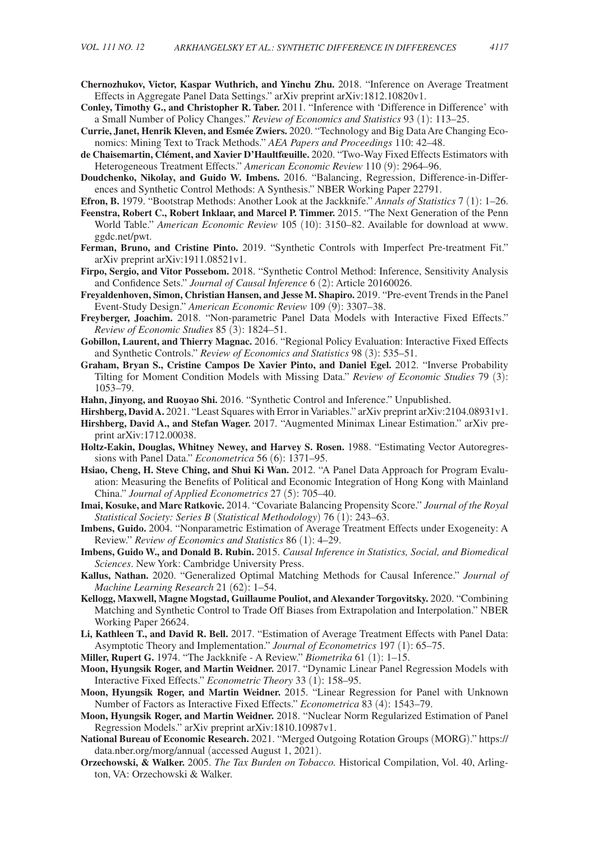- **Chernozhukov, Victor, Kaspar Wuthrich, and Yinchu Zhu.** 2018. "Inference on Average Treatment Effects in Aggregate Panel Data Settings." arXiv preprint arXiv:1812.10820v1.
- **Conley, Timothy G., and Christopher R. Taber.** 2011. "Inference with 'Difference in Difference' with a Small Number of Policy Changes." *Review of Economics and Statistics* 93 (1): 113–25.
- **Currie, Janet, Henrik Kleven, and Esmée Zwiers.** 2020. "Technology and Big Data Are Changing Economics: Mining Text to Track Methods." *AEA Papers and Proceedings* 110: 42–48.
- **de Chaisemartin, Clément, and Xavier D'Haultfœuille.** 2020. "Two-Way Fixed Effects Estimators with Heterogeneous Treatment Effects." *American Economic Review* 110 (9): 2964–96.
- **Doudchenko, Nikolay, and Guido W. Imbens.** 2016. "Balancing, Regression, Difference-in-Differences and Synthetic Control Methods: A Synthesis." NBER Working Paper 22791.
- **Efron, B.** 1979. "Bootstrap Methods: Another Look at the Jackknife." *Annals of Statistics* 7 (1): 1–26.
- **Feenstra, Robert C., Robert Inklaar, and Marcel P. Timmer.** 2015. "The Next Generation of the Penn World Table." *American Economic Review* 105 (10): 3150–82. Available for download at [www.](http://www.ggdc.net/pwt) [ggdc.net/pwt.](http://www.ggdc.net/pwt)
- **Ferman, Bruno, and Cristine Pinto.** 2019. "Synthetic Controls with Imperfect Pre-treatment Fit." arXiv preprint arXiv:1911.08521v1.
- **Firpo, Sergio, and Vitor Possebom.** 2018. "Synthetic Control Method: Inference, Sensitivity Analysis and Confidence Sets." *Journal of Causal Inference* 6 (2): Article 20160026.
- **Freyaldenhoven, Simon, Christian Hansen, and Jesse M. Shapiro.** 2019. "Pre-event Trends in the Panel Event-Study Design." *American Economic Review* 109 (9): 3307–38.
- **Freyberger, Joachim.** 2018. "Non-parametric Panel Data Models with Interactive Fixed Effects." *Review of Economic Studies* 85 (3): 1824–51.
- **Gobillon, Laurent, and Thierry Magnac.** 2016. "Regional Policy Evaluation: Interactive Fixed Effects and Synthetic Controls." *Review of Economics and Statistics* 98 (3): 535–51.
- **Graham, Bryan S., Cristine Campos De Xavier Pinto, and Daniel Egel.** 2012. "Inverse Probability Tilting for Moment Condition Models with Missing Data." *Review of Economic Studies* 79 (3): 1053–79.
- **Hahn, Jinyong, and Ruoyao Shi.** 2016. "Synthetic Control and Inference." Unpublished.
- **Hirshberg, David A.** 2021. "Least Squares with Error in Variables." arXiv preprint arXiv:2104.08931v1.
- **Hirshberg, David A., and Stefan Wager.** 2017. "Augmented Minimax Linear Estimation." arXiv preprint arXiv:1712.00038.
- **Holtz-Eakin, Douglas, Whitney Newey, and Harvey S. Rosen.** 1988. "Estimating Vector Autoregressions with Panel Data." *Econometrica* 56 (6): 1371–95.
- **Hsiao, Cheng, H. Steve Ching, and Shui Ki Wan.** 2012. "A Panel Data Approach for Program Evaluation: Measuring the Benefits of Political and Economic Integration of Hong Kong with Mainland China." *Journal of Applied Econometrics* 27 (5): 705–40.
- **Imai, Kosuke, and Marc Ratkovic.** 2014. "Covariate Balancing Propensity Score." *Journal of the Royal Statistical Society: Series B* (*Statistical Methodology*) 76 (1): 243–63.
- **Imbens, Guido.** 2004. "Nonparametric Estimation of Average Treatment Effects under Exogeneity: A Review." *Review of Economics and Statistics* 86 (1): 4–29.
- **Imbens, Guido W., and Donald B. Rubin.** 2015. *Causal Inference in Statistics, Social, and Biomedical Sciences*. New York: Cambridge University Press.
- **Kallus, Nathan.** 2020. "Generalized Optimal Matching Methods for Causal Inference." *Journal of Machine Learning Research* 21 (62): 1–54.
- **Kellogg, Maxwell, Magne Mogstad, Guillaume Pouliot, and Alexander Torgovitsky.** 2020. "Combining Matching and Synthetic Control to Trade Off Biases from Extrapolation and Interpolation." NBER Working Paper 26624.
- **Li, Kathleen T., and David R. Bell.** 2017. "Estimation of Average Treatment Effects with Panel Data: Asymptotic Theory and Implementation." *Journal of Econometrics* 197 (1): 65–75.
- **Miller, Rupert G.** 1974. "The Jackknife A Review." *Biometrika* 61 (1): 1–15.
- **Moon, Hyungsik Roger, and Martin Weidner.** 2017. "Dynamic Linear Panel Regression Models with Interactive Fixed Effects." *Econometric Theory* 33 (1): 158–95.
- **Moon, Hyungsik Roger, and Martin Weidner.** 2015. "Linear Regression for Panel with Unknown Number of Factors as Interactive Fixed Effects." *Econometrica* 83 (4): 1543–79.
- **Moon, Hyungsik Roger, and Martin Weidner.** 2018. "Nuclear Norm Regularized Estimation of Panel Regression Models." arXiv preprint arXiv:1810.10987v1.
- **National Bureau of Economic Research.** 2021. "Merged Outgoing Rotation Groups (MORG)." [https://](https://data.nber.org/morg/annual) [data.nber.org/morg/annual](https://data.nber.org/morg/annual) (accessed August 1, 2021).
- **Orzechowski, & Walker.** 2005. *The Tax Burden on Tobacco.* Historical Compilation, Vol. 40, Arlington, VA: Orzechowski & Walker.